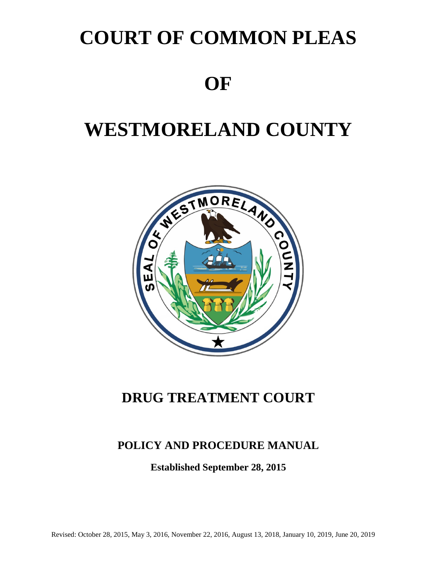# **COURT OF COMMON PLEAS**

# **OF**

# **WESTMORELAND COUNTY**



# **DRUG TREATMENT COURT**

# **POLICY AND PROCEDURE MANUAL**

**Established September 28, 2015**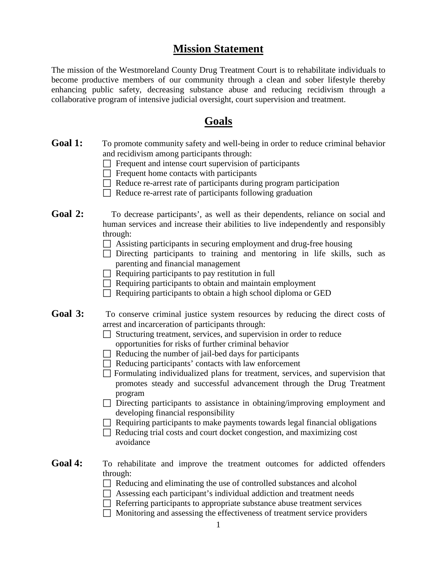### **Mission Statement**

The mission of the Westmoreland County Drug Treatment Court is to rehabilitate individuals to become productive members of our community through a clean and sober lifestyle thereby enhancing public safety, decreasing substance abuse and reducing recidivism through a collaborative program of intensive judicial oversight, court supervision and treatment.

# **Goals**

- Goal 1: To promote community safety and well-being in order to reduce criminal behavior and recidivism among participants through:
	- **T** Frequent and intense court supervision of participants
	- $\Box$  Frequent home contacts with participants
	- $\Box$  Reduce re-arrest rate of participants during program participation
	- $\Box$  Reduce re-arrest rate of participants following graduation
- Goal 2: To decrease participants', as well as their dependents, reliance on social and human services and increase their abilities to live independently and responsibly through:
	- $\Box$  Assisting participants in securing employment and drug-free housing
	- $\Box$  Directing participants to training and mentoring in life skills, such as parenting and financial management
	- $\Box$  Requiring participants to pay restitution in full
	- $\Box$  Requiring participants to obtain and maintain employment
	- $\Box$  Requiring participants to obtain a high school diploma or GED
- Goal 3: To conserve criminal justice system resources by reducing the direct costs of arrest and incarceration of participants through:
	- $\Box$  Structuring treatment, services, and supervision in order to reduce opportunities for risks of further criminal behavior
	- $\Box$  Reducing the number of jail-bed days for participants
	- $\Box$  Reducing participants' contacts with law enforcement
	- $\Box$  Formulating individualized plans for treatment, services, and supervision that promotes steady and successful advancement through the Drug Treatment program
	- $\Box$  Directing participants to assistance in obtaining/improving employment and developing financial responsibility
	- $\Box$  Requiring participants to make payments towards legal financial obligations
	- $\Box$  Reducing trial costs and court docket congestion, and maximizing cost avoidance
- Goal 4: To rehabilitate and improve the treatment outcomes for addicted offenders through:
	- $\Box$  Reducing and eliminating the use of controlled substances and alcohol
	- Assessing each participant's individual addiction and treatment needs
	- $\Box$  Referring participants to appropriate substance abuse treatment services
	- $\Box$  Monitoring and assessing the effectiveness of treatment service providers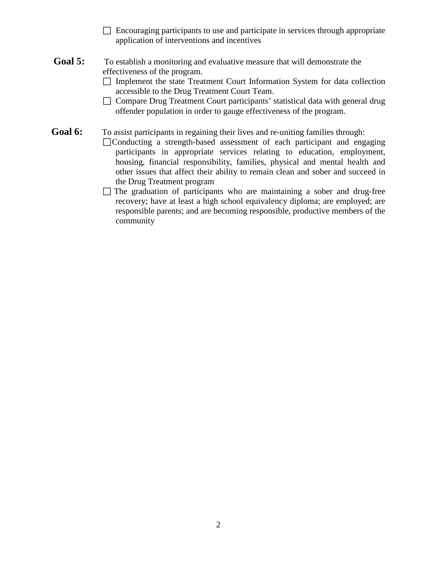- $\Box$  Encouraging participants to use and participate in services through appropriate application of interventions and incentives
- **Goal 5:** To establish a monitoring and evaluative measure that will demonstrate the effectiveness of the program.
	- $\Box$  Implement the state Treatment Court Information System for data collection accessible to the Drug Treatment Court Team.
	- □ Compare Drug Treatment Court participants' statistical data with general drug offender population in order to gauge effectiveness of the program.

Goal 6: To assist participants in regaining their lives and re-uniting families through:

- Conducting a strength-based assessment of each participant and engaging participants in appropriate services relating to education, employment, housing, financial responsibility, families, physical and mental health and other issues that affect their ability to remain clean and sober and succeed in the Drug Treatment program
	- $\Box$  The graduation of participants who are maintaining a sober and drug-free recovery; have at least a high school equivalency diploma; are employed; are responsible parents; and are becoming responsible, productive members of the community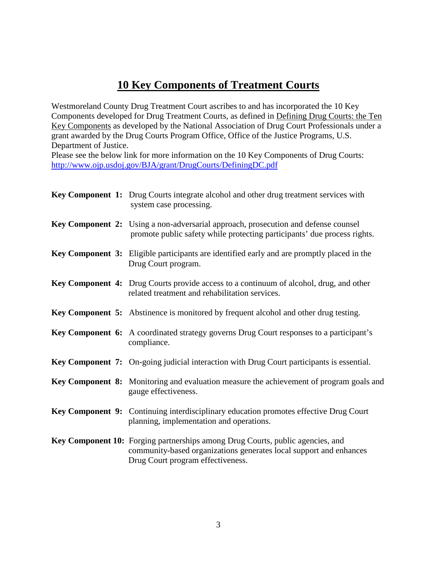# **10 Key Components of Treatment Courts**

Westmoreland County Drug Treatment Court ascribes to and has incorporated the 10 Key Components developed for Drug Treatment Courts, as defined in Defining Drug Courts: the Ten Key Components as developed by the National Association of Drug Court Professionals under a grant awarded by the Drug Courts Program Office, Office of the Justice Programs, U.S. Department of Justice.

Please see the below link for more information on the 10 Key Components of Drug Courts: <http://www.ojp.usdoj.gov/BJA/grant/DrugCourts/DefiningDC.pdf>

| Key Component 1: Drug Courts integrate alcohol and other drug treatment services with<br>system case processing.                                                                          |
|-------------------------------------------------------------------------------------------------------------------------------------------------------------------------------------------|
| Key Component 2: Using a non-adversarial approach, prosecution and defense counsel<br>promote public safety while protecting participants' due process rights.                            |
| Key Component 3: Eligible participants are identified early and are promptly placed in the<br>Drug Court program.                                                                         |
| Key Component 4: Drug Courts provide access to a continuum of alcohol, drug, and other<br>related treatment and rehabilitation services.                                                  |
| Key Component 5: Abstinence is monitored by frequent alcohol and other drug testing.                                                                                                      |
| <b>Key Component 6:</b> A coordinated strategy governs Drug Court responses to a participant's<br>compliance.                                                                             |
| <b>Key Component 7:</b> On-going judicial interaction with Drug Court participants is essential.                                                                                          |
| Key Component 8: Monitoring and evaluation measure the achievement of program goals and<br>gauge effectiveness.                                                                           |
| Key Component 9: Continuing interdisciplinary education promotes effective Drug Court<br>planning, implementation and operations.                                                         |
| Key Component 10: Forging partnerships among Drug Courts, public agencies, and<br>community-based organizations generates local support and enhances<br>Drug Court program effectiveness. |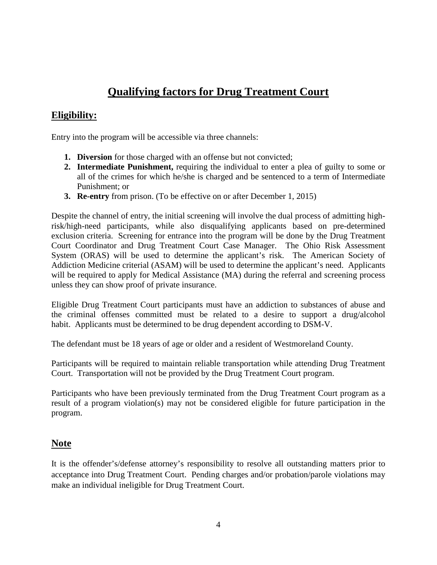# **Qualifying factors for Drug Treatment Court**

### **Eligibility:**

Entry into the program will be accessible via three channels:

- **1. Diversion** for those charged with an offense but not convicted;
- **2. Intermediate Punishment,** requiring the individual to enter a plea of guilty to some or all of the crimes for which he/she is charged and be sentenced to a term of Intermediate Punishment; or
- **3. Re-entry** from prison. (To be effective on or after December 1, 2015)

Despite the channel of entry, the initial screening will involve the dual process of admitting highrisk/high-need participants, while also disqualifying applicants based on pre-determined exclusion criteria. Screening for entrance into the program will be done by the Drug Treatment Court Coordinator and Drug Treatment Court Case Manager. The Ohio Risk Assessment System (ORAS) will be used to determine the applicant's risk. The American Society of Addiction Medicine criterial (ASAM) will be used to determine the applicant's need. Applicants will be required to apply for Medical Assistance (MA) during the referral and screening process unless they can show proof of private insurance.

Eligible Drug Treatment Court participants must have an addiction to substances of abuse and the criminal offenses committed must be related to a desire to support a drug/alcohol habit. Applicants must be determined to be drug dependent according to DSM-V.

The defendant must be 18 years of age or older and a resident of Westmoreland County.

Participants will be required to maintain reliable transportation while attending Drug Treatment Court. Transportation will not be provided by the Drug Treatment Court program.

Participants who have been previously terminated from the Drug Treatment Court program as a result of a program violation(s) may not be considered eligible for future participation in the program.

### **Note**

It is the offender's/defense attorney's responsibility to resolve all outstanding matters prior to acceptance into Drug Treatment Court. Pending charges and/or probation/parole violations may make an individual ineligible for Drug Treatment Court.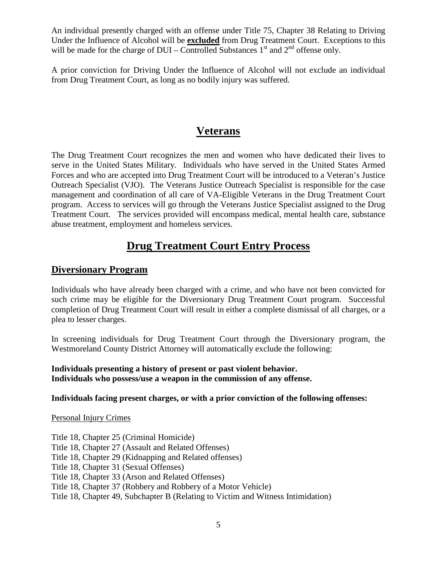An individual presently charged with an offense under Title 75, Chapter 38 Relating to Driving Under the Influence of Alcohol will be **excluded** from Drug Treatment Court. Exceptions to this will be made for the charge of  $DUI -$  Controlled Substances  $1<sup>st</sup>$  and  $2<sup>nd</sup>$  offense only.

A prior conviction for Driving Under the Influence of Alcohol will not exclude an individual from Drug Treatment Court, as long as no bodily injury was suffered.

## **Veterans**

The Drug Treatment Court recognizes the men and women who have dedicated their lives to serve in the United States Military. Individuals who have served in the United States Armed Forces and who are accepted into Drug Treatment Court will be introduced to a Veteran's Justice Outreach Specialist (VJO). The Veterans Justice Outreach Specialist is responsible for the case management and coordination of all care of VA-Eligible Veterans in the Drug Treatment Court program. Access to services will go through the Veterans Justice Specialist assigned to the Drug Treatment Court. The services provided will encompass medical, mental health care, substance abuse treatment, employment and homeless services.

# **Drug Treatment Court Entry Process**

### **Diversionary Program**

Individuals who have already been charged with a crime, and who have not been convicted for such crime may be eligible for the Diversionary Drug Treatment Court program. Successful completion of Drug Treatment Court will result in either a complete dismissal of all charges, or a plea to lesser charges.

In screening individuals for Drug Treatment Court through the Diversionary program, the Westmoreland County District Attorney will automatically exclude the following:

#### **Individuals presenting a history of present or past violent behavior. Individuals who possess/use a weapon in the commission of any offense.**

#### **Individuals facing present charges, or with a prior conviction of the following offenses:**

#### Personal Injury Crimes

Title 18, Chapter 25 (Criminal Homicide) Title 18, Chapter 27 (Assault and Related Offenses) Title 18, Chapter 29 (Kidnapping and Related offenses) Title 18, Chapter 31 (Sexual Offenses) Title 18, Chapter 33 (Arson and Related Offenses) Title 18, Chapter 37 (Robbery and Robbery of a Motor Vehicle) Title 18, Chapter 49, Subchapter B (Relating to Victim and Witness Intimidation)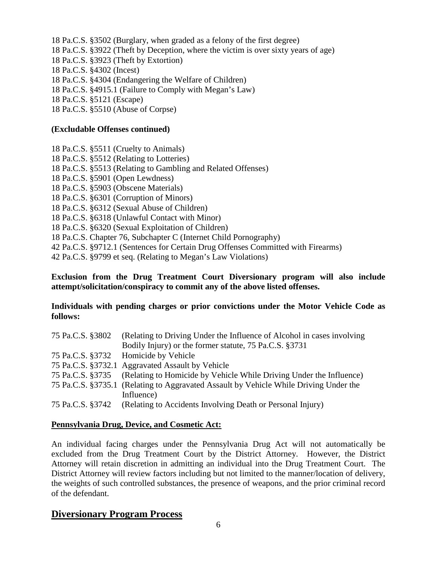- 18 Pa.C.S. §3502 (Burglary, when graded as a felony of the first degree)
- 18 Pa.C.S. §3922 (Theft by Deception, where the victim is over sixty years of age)
- 18 Pa.C.S. §3923 (Theft by Extortion)
- 18 Pa.C.S. §4302 (Incest)
- 18 Pa.C.S. §4304 (Endangering the Welfare of Children)
- 18 Pa.C.S. §4915.1 (Failure to Comply with Megan's Law)
- 18 Pa.C.S. §5121 (Escape)
- 18 Pa.C.S. §5510 (Abuse of Corpse)

#### **(Excludable Offenses continued)**

- 18 Pa.C.S. §5511 (Cruelty to Animals)
- 18 Pa.C.S. §5512 (Relating to Lotteries)
- 18 Pa.C.S. §5513 (Relating to Gambling and Related Offenses)
- 18 Pa.C.S. §5901 (Open Lewdness)
- 18 Pa.C.S. §5903 (Obscene Materials)
- 18 Pa.C.S. §6301 (Corruption of Minors)
- 18 Pa.C.S. §6312 (Sexual Abuse of Children)
- 18 Pa.C.S. §6318 (Unlawful Contact with Minor)
- 18 Pa.C.S. §6320 (Sexual Exploitation of Children)
- 18 Pa.C.S. Chapter 76, Subchapter C (Internet Child Pornography)
- 42 Pa.C.S. §9712.1 (Sentences for Certain Drug Offenses Committed with Firearms)
- 42 Pa.C.S. §9799 et seq. (Relating to Megan's Law Violations)

#### **Exclusion from the Drug Treatment Court Diversionary program will also include attempt/solicitation/conspiracy to commit any of the above listed offenses.**

#### **Individuals with pending charges or prior convictions under the Motor Vehicle Code as follows:**

| 75 Pa.C.S. §3802 | (Relating to Driving Under the Influence of Alcohol in cases involving)<br>Bodily Injury) or the former statute, 75 Pa.C.S. §3731 |
|------------------|-----------------------------------------------------------------------------------------------------------------------------------|
|                  | 75 Pa.C.S. §3732 Homicide by Vehicle                                                                                              |
|                  | 75 Pa.C.S. §3732.1 Aggravated Assault by Vehicle                                                                                  |
|                  | 75 Pa.C.S. §3735 (Relating to Homicide by Vehicle While Driving Under the Influence)                                              |
|                  | 75 Pa.C.S. §3735.1 (Relating to Aggravated Assault by Vehicle While Driving Under the                                             |
|                  | Influence)                                                                                                                        |
| 75 Pa.C.S. §3742 | (Relating to Accidents Involving Death or Personal Injury)                                                                        |

#### **Pennsylvania Drug, Device, and Cosmetic Act:**

An individual facing charges under the Pennsylvania Drug Act will not automatically be excluded from the Drug Treatment Court by the District Attorney. However, the District Attorney will retain discretion in admitting an individual into the Drug Treatment Court. The District Attorney will review factors including but not limited to the manner/location of delivery, the weights of such controlled substances, the presence of weapons, and the prior criminal record of the defendant.

### **Diversionary Program Process**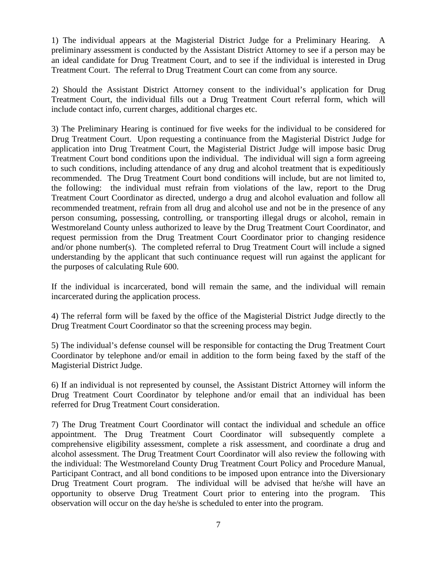1) The individual appears at the Magisterial District Judge for a Preliminary Hearing. A preliminary assessment is conducted by the Assistant District Attorney to see if a person may be an ideal candidate for Drug Treatment Court, and to see if the individual is interested in Drug Treatment Court. The referral to Drug Treatment Court can come from any source.

2) Should the Assistant District Attorney consent to the individual's application for Drug Treatment Court, the individual fills out a Drug Treatment Court referral form, which will include contact info, current charges, additional charges etc.

3) The Preliminary Hearing is continued for five weeks for the individual to be considered for Drug Treatment Court. Upon requesting a continuance from the Magisterial District Judge for application into Drug Treatment Court, the Magisterial District Judge will impose basic Drug Treatment Court bond conditions upon the individual. The individual will sign a form agreeing to such conditions, including attendance of any drug and alcohol treatment that is expeditiously recommended. The Drug Treatment Court bond conditions will include, but are not limited to, the following: the individual must refrain from violations of the law, report to the Drug Treatment Court Coordinator as directed, undergo a drug and alcohol evaluation and follow all recommended treatment, refrain from all drug and alcohol use and not be in the presence of any person consuming, possessing, controlling, or transporting illegal drugs or alcohol, remain in Westmoreland County unless authorized to leave by the Drug Treatment Court Coordinator, and request permission from the Drug Treatment Court Coordinator prior to changing residence and/or phone number(s). The completed referral to Drug Treatment Court will include a signed understanding by the applicant that such continuance request will run against the applicant for the purposes of calculating Rule 600.

If the individual is incarcerated, bond will remain the same, and the individual will remain incarcerated during the application process.

4) The referral form will be faxed by the office of the Magisterial District Judge directly to the Drug Treatment Court Coordinator so that the screening process may begin.

5) The individual's defense counsel will be responsible for contacting the Drug Treatment Court Coordinator by telephone and/or email in addition to the form being faxed by the staff of the Magisterial District Judge.

6) If an individual is not represented by counsel, the Assistant District Attorney will inform the Drug Treatment Court Coordinator by telephone and/or email that an individual has been referred for Drug Treatment Court consideration.

7) The Drug Treatment Court Coordinator will contact the individual and schedule an office appointment. The Drug Treatment Court Coordinator will subsequently complete a comprehensive eligibility assessment, complete a risk assessment, and coordinate a drug and alcohol assessment. The Drug Treatment Court Coordinator will also review the following with the individual: The Westmoreland County Drug Treatment Court Policy and Procedure Manual, Participant Contract, and all bond conditions to be imposed upon entrance into the Diversionary Drug Treatment Court program. The individual will be advised that he/she will have an opportunity to observe Drug Treatment Court prior to entering into the program. This observation will occur on the day he/she is scheduled to enter into the program.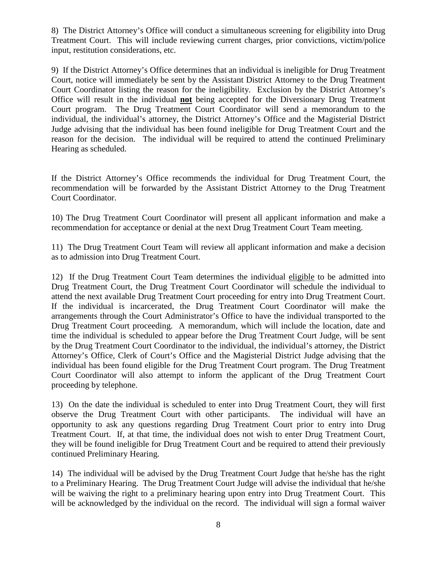8) The District Attorney's Office will conduct a simultaneous screening for eligibility into Drug Treatment Court. This will include reviewing current charges, prior convictions, victim/police input, restitution considerations, etc.

9) If the District Attorney's Office determines that an individual is ineligible for Drug Treatment Court, notice will immediately be sent by the Assistant District Attorney to the Drug Treatment Court Coordinator listing the reason for the ineligibility. Exclusion by the District Attorney's Office will result in the individual **not** being accepted for the Diversionary Drug Treatment Court program. The Drug Treatment Court Coordinator will send a memorandum to the individual, the individual's attorney, the District Attorney's Office and the Magisterial District Judge advising that the individual has been found ineligible for Drug Treatment Court and the reason for the decision. The individual will be required to attend the continued Preliminary Hearing as scheduled.

If the District Attorney's Office recommends the individual for Drug Treatment Court, the recommendation will be forwarded by the Assistant District Attorney to the Drug Treatment Court Coordinator.

10) The Drug Treatment Court Coordinator will present all applicant information and make a recommendation for acceptance or denial at the next Drug Treatment Court Team meeting.

11) The Drug Treatment Court Team will review all applicant information and make a decision as to admission into Drug Treatment Court.

12) If the Drug Treatment Court Team determines the individual eligible to be admitted into Drug Treatment Court, the Drug Treatment Court Coordinator will schedule the individual to attend the next available Drug Treatment Court proceeding for entry into Drug Treatment Court. If the individual is incarcerated, the Drug Treatment Court Coordinator will make the arrangements through the Court Administrator's Office to have the individual transported to the Drug Treatment Court proceeding. A memorandum, which will include the location, date and time the individual is scheduled to appear before the Drug Treatment Court Judge, will be sent by the Drug Treatment Court Coordinator to the individual, the individual's attorney, the District Attorney's Office, Clerk of Court's Office and the Magisterial District Judge advising that the individual has been found eligible for the Drug Treatment Court program. The Drug Treatment Court Coordinator will also attempt to inform the applicant of the Drug Treatment Court proceeding by telephone.

13) On the date the individual is scheduled to enter into Drug Treatment Court, they will first observe the Drug Treatment Court with other participants. The individual will have an opportunity to ask any questions regarding Drug Treatment Court prior to entry into Drug Treatment Court. If, at that time, the individual does not wish to enter Drug Treatment Court, they will be found ineligible for Drug Treatment Court and be required to attend their previously continued Preliminary Hearing.

14) The individual will be advised by the Drug Treatment Court Judge that he/she has the right to a Preliminary Hearing. The Drug Treatment Court Judge will advise the individual that he/she will be waiving the right to a preliminary hearing upon entry into Drug Treatment Court. This will be acknowledged by the individual on the record. The individual will sign a formal waiver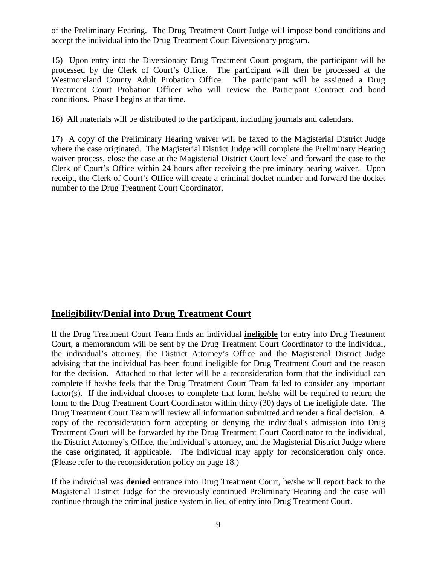of the Preliminary Hearing. The Drug Treatment Court Judge will impose bond conditions and accept the individual into the Drug Treatment Court Diversionary program.

15) Upon entry into the Diversionary Drug Treatment Court program, the participant will be processed by the Clerk of Court's Office. The participant will then be processed at the Westmoreland County Adult Probation Office. The participant will be assigned a Drug Treatment Court Probation Officer who will review the Participant Contract and bond conditions. Phase I begins at that time.

16) All materials will be distributed to the participant, including journals and calendars.

17) A copy of the Preliminary Hearing waiver will be faxed to the Magisterial District Judge where the case originated. The Magisterial District Judge will complete the Preliminary Hearing waiver process, close the case at the Magisterial District Court level and forward the case to the Clerk of Court's Office within 24 hours after receiving the preliminary hearing waiver. Upon receipt, the Clerk of Court's Office will create a criminal docket number and forward the docket number to the Drug Treatment Court Coordinator.

### **Ineligibility/Denial into Drug Treatment Court**

If the Drug Treatment Court Team finds an individual **ineligible** for entry into Drug Treatment Court, a memorandum will be sent by the Drug Treatment Court Coordinator to the individual, the individual's attorney, the District Attorney's Office and the Magisterial District Judge advising that the individual has been found ineligible for Drug Treatment Court and the reason for the decision. Attached to that letter will be a reconsideration form that the individual can complete if he/she feels that the Drug Treatment Court Team failed to consider any important factor(s). If the individual chooses to complete that form, he/she will be required to return the form to the Drug Treatment Court Coordinator within thirty (30) days of the ineligible date. The Drug Treatment Court Team will review all information submitted and render a final decision. A copy of the reconsideration form accepting or denying the individual's admission into Drug Treatment Court will be forwarded by the Drug Treatment Court Coordinator to the individual, the District Attorney's Office, the individual's attorney, and the Magisterial District Judge where the case originated, if applicable. The individual may apply for reconsideration only once. (Please refer to the reconsideration policy on page 18.)

If the individual was **denied** entrance into Drug Treatment Court, he/she will report back to the Magisterial District Judge for the previously continued Preliminary Hearing and the case will continue through the criminal justice system in lieu of entry into Drug Treatment Court.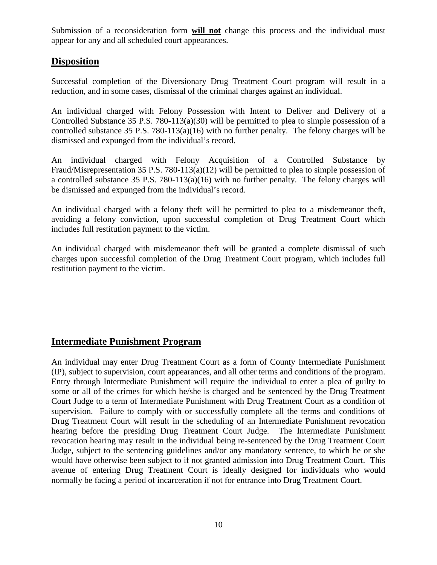Submission of a reconsideration form **will not** change this process and the individual must appear for any and all scheduled court appearances.

### **Disposition**

Successful completion of the Diversionary Drug Treatment Court program will result in a reduction, and in some cases, dismissal of the criminal charges against an individual.

An individual charged with Felony Possession with Intent to Deliver and Delivery of a Controlled Substance 35 P.S. 780-113(a)(30) will be permitted to plea to simple possession of a controlled substance 35 P.S. 780-113(a)(16) with no further penalty. The felony charges will be dismissed and expunged from the individual's record.

An individual charged with Felony Acquisition of a Controlled Substance by Fraud/Misrepresentation 35 P.S. 780-113(a)(12) will be permitted to plea to simple possession of a controlled substance 35 P.S. 780-113(a)(16) with no further penalty. The felony charges will be dismissed and expunged from the individual's record.

An individual charged with a felony theft will be permitted to plea to a misdemeanor theft, avoiding a felony conviction, upon successful completion of Drug Treatment Court which includes full restitution payment to the victim.

An individual charged with misdemeanor theft will be granted a complete dismissal of such charges upon successful completion of the Drug Treatment Court program, which includes full restitution payment to the victim.

### **Intermediate Punishment Program**

An individual may enter Drug Treatment Court as a form of County Intermediate Punishment (IP), subject to supervision, court appearances, and all other terms and conditions of the program. Entry through Intermediate Punishment will require the individual to enter a plea of guilty to some or all of the crimes for which he/she is charged and be sentenced by the Drug Treatment Court Judge to a term of Intermediate Punishment with Drug Treatment Court as a condition of supervision. Failure to comply with or successfully complete all the terms and conditions of Drug Treatment Court will result in the scheduling of an Intermediate Punishment revocation hearing before the presiding Drug Treatment Court Judge. The Intermediate Punishment revocation hearing may result in the individual being re-sentenced by the Drug Treatment Court Judge, subject to the sentencing guidelines and/or any mandatory sentence, to which he or she would have otherwise been subject to if not granted admission into Drug Treatment Court. This avenue of entering Drug Treatment Court is ideally designed for individuals who would normally be facing a period of incarceration if not for entrance into Drug Treatment Court.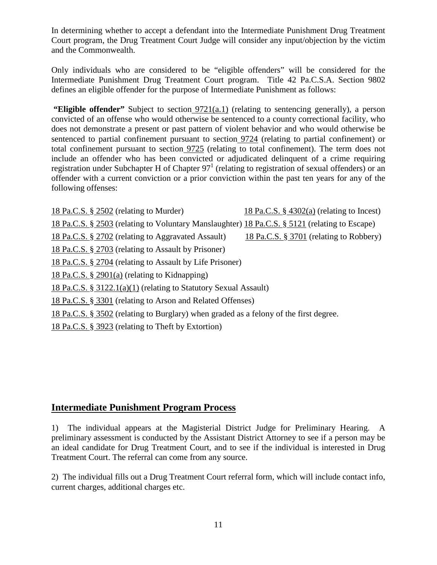In determining whether to accept a defendant into the Intermediate Punishment Drug Treatment Court program, the Drug Treatment Court Judge will consider any input/objection by the victim and the Commonwealth.

Only individuals who are considered to be "eligible offenders" will be considered for the Intermediate Punishment Drug Treatment Court program. Title 42 Pa.C.S.A. Section 9802 defines an eligible offender for the purpose of Intermediate Punishment as follows:

**"Eligible offender"** Subject to section  $9721(a.1)$  (relating to sentencing generally), a person convicted of an offense who would otherwise be sentenced to a county correctional facility, who does not demonstrate a present or past pattern of violent behavior and who would otherwise be sentenced to partial confinement pursuant to [section](https://a.next.westlaw.com/Link/Document/FullText?findType=L&pubNum=1000262&cite=PA42S9724&originatingDoc=NF5189F50F87111E1A3CC921EDB1898C5&refType=LQ&originationContext=document&transitionType=DocumentItem&contextData=(sc.Search)) 9724 (relating to partial confinement) or total confinement pursuant to [section](https://a.next.westlaw.com/Link/Document/FullText?findType=L&pubNum=1000262&cite=PA42S9725&originatingDoc=NF5189F50F87111E1A3CC921EDB1898C5&refType=LQ&originationContext=document&transitionType=DocumentItem&contextData=(sc.Search)) 9725 (relating to total confinement). The term does not include an offender who has been convicted or adjudicated delinquent of a crime requiring registration under Subchapter H of Chapter  $97<sup>1</sup>$  (relating to registration of sexual offenders) or an offender with a current conviction or a prior conviction within the past ten years for any of the following offenses:

[18 Pa.C.S. §](https://a.next.westlaw.com/Link/Document/FullText?findType=L&pubNum=1000262&cite=PA18S2502&originatingDoc=NF5189F50F87111E1A3CC921EDB1898C5&refType=LQ&originationContext=document&transitionType=DocumentItem&contextData=(sc.Search)) 2502 (relating to Murder) [18 Pa.C.S. §](https://a.next.westlaw.com/Link/Document/FullText?findType=L&pubNum=1000262&cite=PA18S4302&originatingDoc=NF5189F50F87111E1A3CC921EDB1898C5&refType=LQ&originationContext=document&transitionType=DocumentItem&contextData=(sc.Search)) 4302(a) (relating to Incest) [18 Pa.C.S. §](https://a.next.westlaw.com/Link/Document/FullText?findType=L&pubNum=1000262&cite=PA18S2503&originatingDoc=NF5189F50F87111E1A3CC921EDB1898C5&refType=LQ&originationContext=document&transitionType=DocumentItem&contextData=(sc.Search)) 2503 (relating to Voluntary Manslaughter) [18 Pa.C.S. §](https://a.next.westlaw.com/Link/Document/FullText?findType=L&pubNum=1000262&cite=PA18S5121&originatingDoc=NF5189F50F87111E1A3CC921EDB1898C5&refType=LQ&originationContext=document&transitionType=DocumentItem&contextData=(sc.Search)) 5121 (relating to Escape) [18 Pa.C.S. §](https://a.next.westlaw.com/Link/Document/FullText?findType=L&pubNum=1000262&cite=PA18S2702&originatingDoc=NF5189F50F87111E1A3CC921EDB1898C5&refType=LQ&originationContext=document&transitionType=DocumentItem&contextData=(sc.Search)) 2702 (relating to Aggravated Assault) [18 Pa.C.S. §](https://a.next.westlaw.com/Link/Document/FullText?findType=L&pubNum=1000262&cite=PA18S3701&originatingDoc=NF5189F50F87111E1A3CC921EDB1898C5&refType=LQ&originationContext=document&transitionType=DocumentItem&contextData=(sc.Search)) 3701 (relating to Robbery) [18 Pa.C.S. §](https://a.next.westlaw.com/Link/Document/FullText?findType=L&pubNum=1000262&cite=PA18S2703&originatingDoc=NF5189F50F87111E1A3CC921EDB1898C5&refType=LQ&originationContext=document&transitionType=DocumentItem&contextData=(sc.Search)) 2703 (relating to Assault by Prisoner) [18 Pa.C.S. §](https://a.next.westlaw.com/Link/Document/FullText?findType=L&pubNum=1000262&cite=PA18S2704&originatingDoc=NF5189F50F87111E1A3CC921EDB1898C5&refType=LQ&originationContext=document&transitionType=DocumentItem&contextData=(sc.Search)) 2704 (relating to Assault by Life Prisoner) [18 Pa.C.S. §](https://a.next.westlaw.com/Link/Document/FullText?findType=L&pubNum=1000262&cite=PA18S2901&originatingDoc=NF5189F50F87111E1A3CC921EDB1898C5&refType=SP&originationContext=document&transitionType=DocumentItem&contextData=(sc.Search)#co_pp_8b3b0000958a4) 2901(a) (relating to Kidnapping) 18 Pa.C.S. § [3122.1\(a\)\(1\)](https://a.next.westlaw.com/Link/Document/FullText?findType=L&pubNum=1000262&cite=PA18S3122.1&originatingDoc=NF5189F50F87111E1A3CC921EDB1898C5&refType=LQ&originationContext=document&transitionType=DocumentItem&contextData=(sc.Search)) (relating to Statutory Sexual Assault) [18 Pa.C.S. §](https://a.next.westlaw.com/Link/Document/FullText?findType=L&pubNum=1000262&cite=PA18S3301&originatingDoc=NF5189F50F87111E1A3CC921EDB1898C5&refType=LQ&originationContext=document&transitionType=DocumentItem&contextData=(sc.Search)) 3301 (relating to Arson and Related Offenses) [18 Pa.C.S. §](https://a.next.westlaw.com/Link/Document/FullText?findType=L&pubNum=1000262&cite=PA18S3502&originatingDoc=NF5189F50F87111E1A3CC921EDB1898C5&refType=LQ&originationContext=document&transitionType=DocumentItem&contextData=(sc.Search)) 3502 (relating to Burglary) when graded as a felony of the first degree. [18 Pa.C.S. §](https://a.next.westlaw.com/Link/Document/FullText?findType=L&pubNum=1000262&cite=PA18S3923&originatingDoc=NF5189F50F87111E1A3CC921EDB1898C5&refType=LQ&originationContext=document&transitionType=DocumentItem&contextData=(sc.Search)) 3923 (relating to Theft by Extortion)

### **Intermediate Punishment Program Process**

1) The individual appears at the Magisterial District Judge for Preliminary Hearing. A preliminary assessment is conducted by the Assistant District Attorney to see if a person may be an ideal candidate for Drug Treatment Court, and to see if the individual is interested in Drug Treatment Court. The referral can come from any source.

2) The individual fills out a Drug Treatment Court referral form, which will include contact info, current charges, additional charges etc.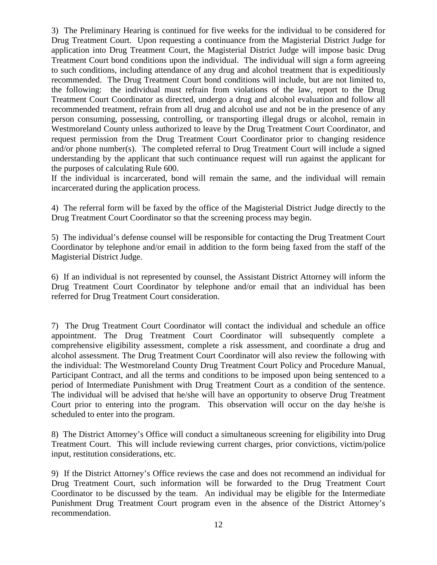3) The Preliminary Hearing is continued for five weeks for the individual to be considered for Drug Treatment Court. Upon requesting a continuance from the Magisterial District Judge for application into Drug Treatment Court, the Magisterial District Judge will impose basic Drug Treatment Court bond conditions upon the individual. The individual will sign a form agreeing to such conditions, including attendance of any drug and alcohol treatment that is expeditiously recommended. The Drug Treatment Court bond conditions will include, but are not limited to, the following: the individual must refrain from violations of the law, report to the Drug Treatment Court Coordinator as directed, undergo a drug and alcohol evaluation and follow all recommended treatment, refrain from all drug and alcohol use and not be in the presence of any person consuming, possessing, controlling, or transporting illegal drugs or alcohol, remain in Westmoreland County unless authorized to leave by the Drug Treatment Court Coordinator, and request permission from the Drug Treatment Court Coordinator prior to changing residence and/or phone number(s). The completed referral to Drug Treatment Court will include a signed understanding by the applicant that such continuance request will run against the applicant for the purposes of calculating Rule 600.

If the individual is incarcerated, bond will remain the same, and the individual will remain incarcerated during the application process.

4) The referral form will be faxed by the office of the Magisterial District Judge directly to the Drug Treatment Court Coordinator so that the screening process may begin.

5) The individual's defense counsel will be responsible for contacting the Drug Treatment Court Coordinator by telephone and/or email in addition to the form being faxed from the staff of the Magisterial District Judge.

6) If an individual is not represented by counsel, the Assistant District Attorney will inform the Drug Treatment Court Coordinator by telephone and/or email that an individual has been referred for Drug Treatment Court consideration.

7) The Drug Treatment Court Coordinator will contact the individual and schedule an office appointment. The Drug Treatment Court Coordinator will subsequently complete a comprehensive eligibility assessment, complete a risk assessment, and coordinate a drug and alcohol assessment. The Drug Treatment Court Coordinator will also review the following with the individual: The Westmoreland County Drug Treatment Court Policy and Procedure Manual, Participant Contract, and all the terms and conditions to be imposed upon being sentenced to a period of Intermediate Punishment with Drug Treatment Court as a condition of the sentence. The individual will be advised that he/she will have an opportunity to observe Drug Treatment Court prior to entering into the program. This observation will occur on the day he/she is scheduled to enter into the program.

8) The District Attorney's Office will conduct a simultaneous screening for eligibility into Drug Treatment Court. This will include reviewing current charges, prior convictions, victim/police input, restitution considerations, etc.

9) If the District Attorney's Office reviews the case and does not recommend an individual for Drug Treatment Court, such information will be forwarded to the Drug Treatment Court Coordinator to be discussed by the team. An individual may be eligible for the Intermediate Punishment Drug Treatment Court program even in the absence of the District Attorney's recommendation.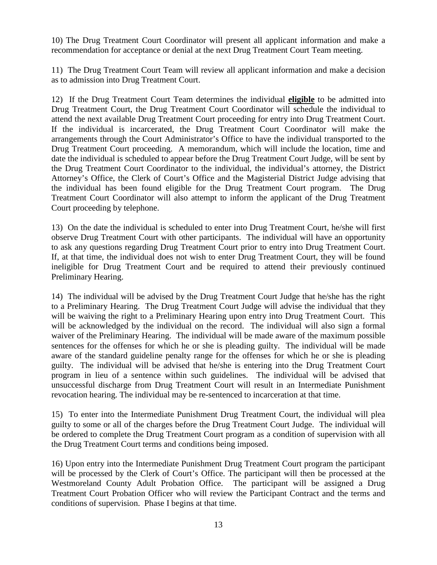10) The Drug Treatment Court Coordinator will present all applicant information and make a recommendation for acceptance or denial at the next Drug Treatment Court Team meeting.

11) The Drug Treatment Court Team will review all applicant information and make a decision as to admission into Drug Treatment Court.

12) If the Drug Treatment Court Team determines the individual **eligible** to be admitted into Drug Treatment Court, the Drug Treatment Court Coordinator will schedule the individual to attend the next available Drug Treatment Court proceeding for entry into Drug Treatment Court. If the individual is incarcerated, the Drug Treatment Court Coordinator will make the arrangements through the Court Administrator's Office to have the individual transported to the Drug Treatment Court proceeding. A memorandum, which will include the location, time and date the individual is scheduled to appear before the Drug Treatment Court Judge, will be sent by the Drug Treatment Court Coordinator to the individual, the individual's attorney, the District Attorney's Office, the Clerk of Court's Office and the Magisterial District Judge advising that the individual has been found eligible for the Drug Treatment Court program. The Drug Treatment Court Coordinator will also attempt to inform the applicant of the Drug Treatment Court proceeding by telephone.

13) On the date the individual is scheduled to enter into Drug Treatment Court, he/she will first observe Drug Treatment Court with other participants. The individual will have an opportunity to ask any questions regarding Drug Treatment Court prior to entry into Drug Treatment Court. If, at that time, the individual does not wish to enter Drug Treatment Court, they will be found ineligible for Drug Treatment Court and be required to attend their previously continued Preliminary Hearing.

14) The individual will be advised by the Drug Treatment Court Judge that he/she has the right to a Preliminary Hearing. The Drug Treatment Court Judge will advise the individual that they will be waiving the right to a Preliminary Hearing upon entry into Drug Treatment Court. This will be acknowledged by the individual on the record. The individual will also sign a formal waiver of the Preliminary Hearing. The individual will be made aware of the maximum possible sentences for the offenses for which he or she is pleading guilty. The individual will be made aware of the standard guideline penalty range for the offenses for which he or she is pleading guilty. The individual will be advised that he/she is entering into the Drug Treatment Court program in lieu of a sentence within such guidelines. The individual will be advised that unsuccessful discharge from Drug Treatment Court will result in an Intermediate Punishment revocation hearing. The individual may be re-sentenced to incarceration at that time.

15) To enter into the Intermediate Punishment Drug Treatment Court, the individual will plea guilty to some or all of the charges before the Drug Treatment Court Judge. The individual will be ordered to complete the Drug Treatment Court program as a condition of supervision with all the Drug Treatment Court terms and conditions being imposed.

16) Upon entry into the Intermediate Punishment Drug Treatment Court program the participant will be processed by the Clerk of Court's Office. The participant will then be processed at the Westmoreland County Adult Probation Office. The participant will be assigned a Drug Treatment Court Probation Officer who will review the Participant Contract and the terms and conditions of supervision. Phase I begins at that time.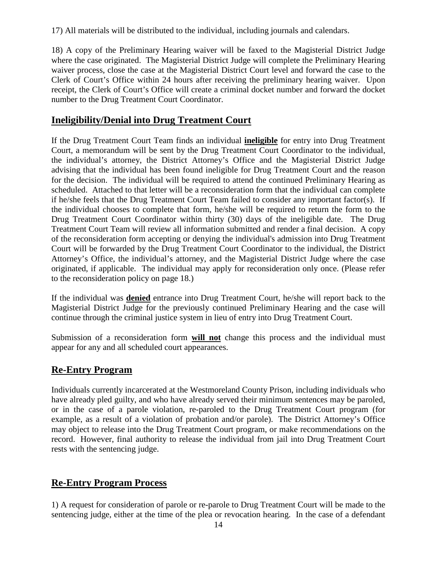17) All materials will be distributed to the individual, including journals and calendars.

18) A copy of the Preliminary Hearing waiver will be faxed to the Magisterial District Judge where the case originated. The Magisterial District Judge will complete the Preliminary Hearing waiver process, close the case at the Magisterial District Court level and forward the case to the Clerk of Court's Office within 24 hours after receiving the preliminary hearing waiver. Upon receipt, the Clerk of Court's Office will create a criminal docket number and forward the docket number to the Drug Treatment Court Coordinator.

### **Ineligibility/Denial into Drug Treatment Court**

If the Drug Treatment Court Team finds an individual **ineligible** for entry into Drug Treatment Court, a memorandum will be sent by the Drug Treatment Court Coordinator to the individual, the individual's attorney, the District Attorney's Office and the Magisterial District Judge advising that the individual has been found ineligible for Drug Treatment Court and the reason for the decision. The individual will be required to attend the continued Preliminary Hearing as scheduled. Attached to that letter will be a reconsideration form that the individual can complete if he/she feels that the Drug Treatment Court Team failed to consider any important factor(s). If the individual chooses to complete that form, he/she will be required to return the form to the Drug Treatment Court Coordinator within thirty (30) days of the ineligible date. The Drug Treatment Court Team will review all information submitted and render a final decision. A copy of the reconsideration form accepting or denying the individual's admission into Drug Treatment Court will be forwarded by the Drug Treatment Court Coordinator to the individual, the District Attorney's Office, the individual's attorney, and the Magisterial District Judge where the case originated, if applicable. The individual may apply for reconsideration only once. (Please refer to the reconsideration policy on page 18.)

If the individual was **denied** entrance into Drug Treatment Court, he/she will report back to the Magisterial District Judge for the previously continued Preliminary Hearing and the case will continue through the criminal justice system in lieu of entry into Drug Treatment Court.

Submission of a reconsideration form **will not** change this process and the individual must appear for any and all scheduled court appearances.

### **Re-Entry Program**

Individuals currently incarcerated at the Westmoreland County Prison, including individuals who have already pled guilty, and who have already served their minimum sentences may be paroled, or in the case of a parole violation, re-paroled to the Drug Treatment Court program (for example, as a result of a violation of probation and/or parole). The District Attorney's Office may object to release into the Drug Treatment Court program, or make recommendations on the record. However, final authority to release the individual from jail into Drug Treatment Court rests with the sentencing judge.

### **Re-Entry Program Process**

1) A request for consideration of parole or re-parole to Drug Treatment Court will be made to the sentencing judge, either at the time of the plea or revocation hearing. In the case of a defendant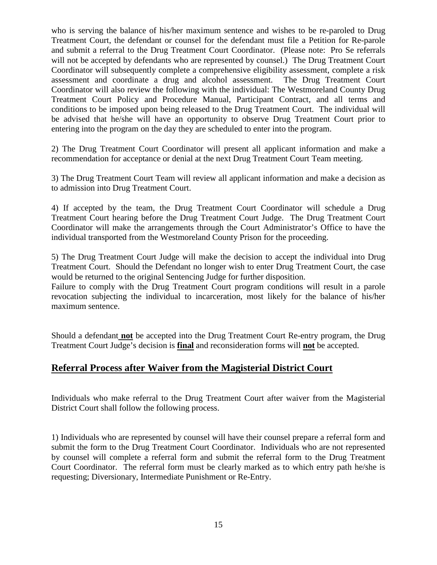who is serving the balance of his/her maximum sentence and wishes to be re-paroled to Drug Treatment Court, the defendant or counsel for the defendant must file a Petition for Re-parole and submit a referral to the Drug Treatment Court Coordinator. (Please note: Pro Se referrals will not be accepted by defendants who are represented by counsel.) The Drug Treatment Court Coordinator will subsequently complete a comprehensive eligibility assessment, complete a risk assessment and coordinate a drug and alcohol assessment. The Drug Treatment Court Coordinator will also review the following with the individual: The Westmoreland County Drug Treatment Court Policy and Procedure Manual, Participant Contract, and all terms and conditions to be imposed upon being released to the Drug Treatment Court. The individual will be advised that he/she will have an opportunity to observe Drug Treatment Court prior to entering into the program on the day they are scheduled to enter into the program.

2) The Drug Treatment Court Coordinator will present all applicant information and make a recommendation for acceptance or denial at the next Drug Treatment Court Team meeting.

3) The Drug Treatment Court Team will review all applicant information and make a decision as to admission into Drug Treatment Court.

4) If accepted by the team, the Drug Treatment Court Coordinator will schedule a Drug Treatment Court hearing before the Drug Treatment Court Judge. The Drug Treatment Court Coordinator will make the arrangements through the Court Administrator's Office to have the individual transported from the Westmoreland County Prison for the proceeding.

5) The Drug Treatment Court Judge will make the decision to accept the individual into Drug Treatment Court. Should the Defendant no longer wish to enter Drug Treatment Court, the case would be returned to the original Sentencing Judge for further disposition.

Failure to comply with the Drug Treatment Court program conditions will result in a parole revocation subjecting the individual to incarceration, most likely for the balance of his/her maximum sentence.

Should a defendant **not** be accepted into the Drug Treatment Court Re-entry program, the Drug Treatment Court Judge's decision is **final** and reconsideration forms will **not** be accepted.

### **Referral Process after Waiver from the Magisterial District Court**

Individuals who make referral to the Drug Treatment Court after waiver from the Magisterial District Court shall follow the following process.

1) Individuals who are represented by counsel will have their counsel prepare a referral form and submit the form to the Drug Treatment Court Coordinator. Individuals who are not represented by counsel will complete a referral form and submit the referral form to the Drug Treatment Court Coordinator. The referral form must be clearly marked as to which entry path he/she is requesting; Diversionary, Intermediate Punishment or Re-Entry.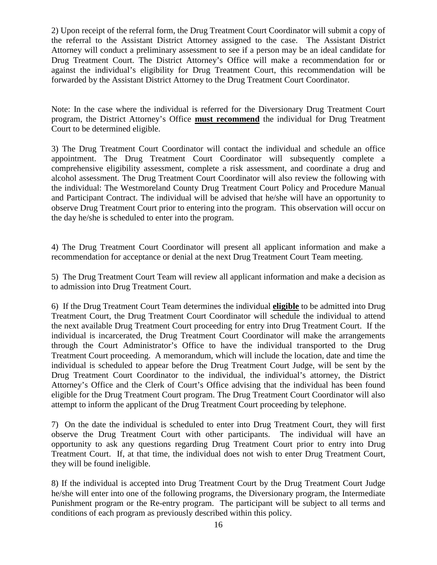2) Upon receipt of the referral form, the Drug Treatment Court Coordinator will submit a copy of the referral to the Assistant District Attorney assigned to the case. The Assistant District Attorney will conduct a preliminary assessment to see if a person may be an ideal candidate for Drug Treatment Court. The District Attorney's Office will make a recommendation for or against the individual's eligibility for Drug Treatment Court, this recommendation will be forwarded by the Assistant District Attorney to the Drug Treatment Court Coordinator.

Note: In the case where the individual is referred for the Diversionary Drug Treatment Court program, the District Attorney's Office **must recommend** the individual for Drug Treatment Court to be determined eligible.

3) The Drug Treatment Court Coordinator will contact the individual and schedule an office appointment. The Drug Treatment Court Coordinator will subsequently complete a comprehensive eligibility assessment, complete a risk assessment, and coordinate a drug and alcohol assessment. The Drug Treatment Court Coordinator will also review the following with the individual: The Westmoreland County Drug Treatment Court Policy and Procedure Manual and Participant Contract. The individual will be advised that he/she will have an opportunity to observe Drug Treatment Court prior to entering into the program. This observation will occur on the day he/she is scheduled to enter into the program.

4) The Drug Treatment Court Coordinator will present all applicant information and make a recommendation for acceptance or denial at the next Drug Treatment Court Team meeting.

5) The Drug Treatment Court Team will review all applicant information and make a decision as to admission into Drug Treatment Court.

6) If the Drug Treatment Court Team determines the individual **eligible** to be admitted into Drug Treatment Court, the Drug Treatment Court Coordinator will schedule the individual to attend the next available Drug Treatment Court proceeding for entry into Drug Treatment Court. If the individual is incarcerated, the Drug Treatment Court Coordinator will make the arrangements through the Court Administrator's Office to have the individual transported to the Drug Treatment Court proceeding. A memorandum, which will include the location, date and time the individual is scheduled to appear before the Drug Treatment Court Judge, will be sent by the Drug Treatment Court Coordinator to the individual, the individual's attorney, the District Attorney's Office and the Clerk of Court's Office advising that the individual has been found eligible for the Drug Treatment Court program. The Drug Treatment Court Coordinator will also attempt to inform the applicant of the Drug Treatment Court proceeding by telephone.

7) On the date the individual is scheduled to enter into Drug Treatment Court, they will first observe the Drug Treatment Court with other participants. The individual will have an opportunity to ask any questions regarding Drug Treatment Court prior to entry into Drug Treatment Court. If, at that time, the individual does not wish to enter Drug Treatment Court, they will be found ineligible.

8) If the individual is accepted into Drug Treatment Court by the Drug Treatment Court Judge he/she will enter into one of the following programs, the Diversionary program, the Intermediate Punishment program or the Re-entry program. The participant will be subject to all terms and conditions of each program as previously described within this policy.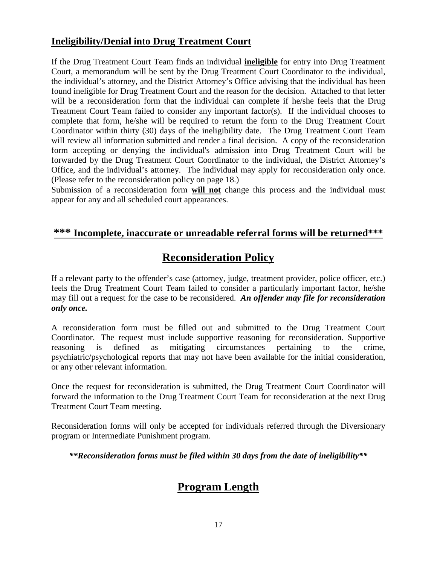### **Ineligibility/Denial into Drug Treatment Court**

If the Drug Treatment Court Team finds an individual **ineligible** for entry into Drug Treatment Court, a memorandum will be sent by the Drug Treatment Court Coordinator to the individual, the individual's attorney, and the District Attorney's Office advising that the individual has been found ineligible for Drug Treatment Court and the reason for the decision. Attached to that letter will be a reconsideration form that the individual can complete if he/she feels that the Drug Treatment Court Team failed to consider any important factor(s). If the individual chooses to complete that form, he/she will be required to return the form to the Drug Treatment Court Coordinator within thirty (30) days of the ineligibility date. The Drug Treatment Court Team will review all information submitted and render a final decision. A copy of the reconsideration form accepting or denying the individual's admission into Drug Treatment Court will be forwarded by the Drug Treatment Court Coordinator to the individual, the District Attorney's Office, and the individual's attorney. The individual may apply for reconsideration only once. (Please refer to the reconsideration policy on page 18.)

Submission of a reconsideration form **will not** change this process and the individual must appear for any and all scheduled court appearances.

### **\*\*\* Incomplete, inaccurate or unreadable referral forms will be returned\*\*\***

# **Reconsideration Policy**

If a relevant party to the offender's case (attorney, judge, treatment provider, police officer, etc.) feels the Drug Treatment Court Team failed to consider a particularly important factor, he/she may fill out a request for the case to be reconsidered. *An offender may file for reconsideration only once.*

A reconsideration form must be filled out and submitted to the Drug Treatment Court Coordinator. The request must include supportive reasoning for reconsideration. Supportive reasoning is defined as mitigating circumstances pertaining to the crime, psychiatric/psychological reports that may not have been available for the initial consideration, or any other relevant information.

Once the request for reconsideration is submitted, the Drug Treatment Court Coordinator will forward the information to the Drug Treatment Court Team for reconsideration at the next Drug Treatment Court Team meeting.

Reconsideration forms will only be accepted for individuals referred through the Diversionary program or Intermediate Punishment program.

*\*\*Reconsideration forms must be filed within 30 days from the date of ineligibility\*\**

# **Program Length**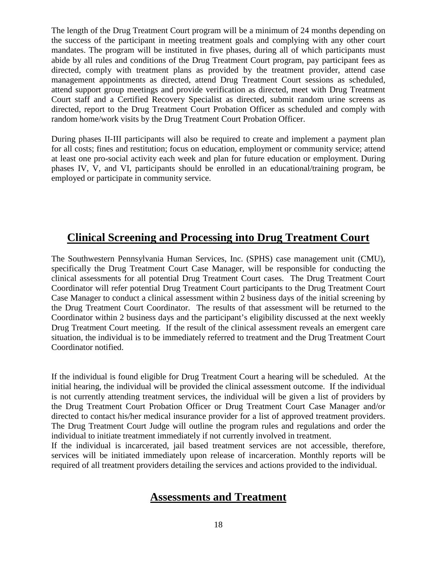The length of the Drug Treatment Court program will be a minimum of 24 months depending on the success of the participant in meeting treatment goals and complying with any other court mandates. The program will be instituted in five phases, during all of which participants must abide by all rules and conditions of the Drug Treatment Court program, pay participant fees as directed, comply with treatment plans as provided by the treatment provider, attend case management appointments as directed, attend Drug Treatment Court sessions as scheduled, attend support group meetings and provide verification as directed, meet with Drug Treatment Court staff and a Certified Recovery Specialist as directed, submit random urine screens as directed, report to the Drug Treatment Court Probation Officer as scheduled and comply with random home/work visits by the Drug Treatment Court Probation Officer.

During phases II-III participants will also be required to create and implement a payment plan for all costs; fines and restitution; focus on education, employment or community service; attend at least one pro-social activity each week and plan for future education or employment. During phases IV, V, and VI, participants should be enrolled in an educational/training program, be employed or participate in community service.

# **Clinical Screening and Processing into Drug Treatment Court**

The Southwestern Pennsylvania Human Services, Inc. (SPHS) case management unit (CMU), specifically the Drug Treatment Court Case Manager, will be responsible for conducting the clinical assessments for all potential Drug Treatment Court cases. The Drug Treatment Court Coordinator will refer potential Drug Treatment Court participants to the Drug Treatment Court Case Manager to conduct a clinical assessment within 2 business days of the initial screening by the Drug Treatment Court Coordinator. The results of that assessment will be returned to the Coordinator within 2 business days and the participant's eligibility discussed at the next weekly Drug Treatment Court meeting. If the result of the clinical assessment reveals an emergent care situation, the individual is to be immediately referred to treatment and the Drug Treatment Court Coordinator notified.

If the individual is found eligible for Drug Treatment Court a hearing will be scheduled. At the initial hearing, the individual will be provided the clinical assessment outcome. If the individual is not currently attending treatment services, the individual will be given a list of providers by the Drug Treatment Court Probation Officer or Drug Treatment Court Case Manager and/or directed to contact his/her medical insurance provider for a list of approved treatment providers. The Drug Treatment Court Judge will outline the program rules and regulations and order the individual to initiate treatment immediately if not currently involved in treatment.

If the individual is incarcerated, jail based treatment services are not accessible, therefore, services will be initiated immediately upon release of incarceration. Monthly reports will be required of all treatment providers detailing the services and actions provided to the individual.

### **Assessments and Treatment**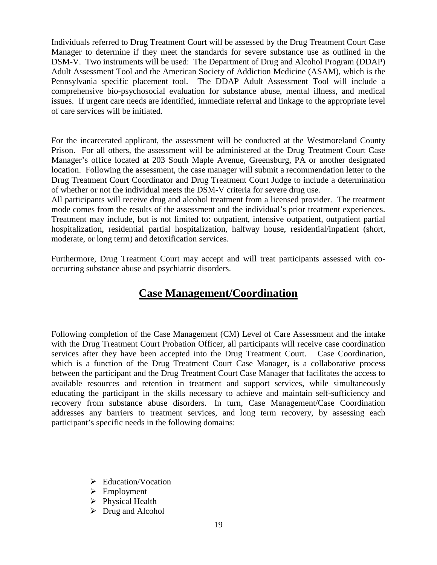Individuals referred to Drug Treatment Court will be assessed by the Drug Treatment Court Case Manager to determine if they meet the standards for severe substance use as outlined in the DSM-V. Two instruments will be used: The Department of Drug and Alcohol Program (DDAP) Adult Assessment Tool and the American Society of Addiction Medicine (ASAM), which is the Pennsylvania specific placement tool. The DDAP Adult Assessment Tool will include a comprehensive bio-psychosocial evaluation for substance abuse, mental illness, and medical issues. If urgent care needs are identified, immediate referral and linkage to the appropriate level of care services will be initiated.

For the incarcerated applicant, the assessment will be conducted at the Westmoreland County Prison. For all others, the assessment will be administered at the Drug Treatment Court Case Manager's office located at 203 South Maple Avenue, Greensburg, PA or another designated location. Following the assessment, the case manager will submit a recommendation letter to the Drug Treatment Court Coordinator and Drug Treatment Court Judge to include a determination of whether or not the individual meets the DSM-V criteria for severe drug use.

All participants will receive drug and alcohol treatment from a licensed provider. The treatment mode comes from the results of the assessment and the individual's prior treatment experiences. Treatment may include, but is not limited to: outpatient, intensive outpatient, outpatient partial hospitalization, residential partial hospitalization, halfway house, residential/inpatient (short, moderate, or long term) and detoxification services.

Furthermore, Drug Treatment Court may accept and will treat participants assessed with cooccurring substance abuse and psychiatric disorders.

# **Case Management/Coordination**

Following completion of the Case Management (CM) Level of Care Assessment and the intake with the Drug Treatment Court Probation Officer, all participants will receive case coordination services after they have been accepted into the Drug Treatment Court. Case Coordination, which is a function of the Drug Treatment Court Case Manager, is a collaborative process between the participant and the Drug Treatment Court Case Manager that facilitates the access to available resources and retention in treatment and support services, while simultaneously educating the participant in the skills necessary to achieve and maintain self-sufficiency and recovery from substance abuse disorders. In turn, Case Management/Case Coordination addresses any barriers to treatment services, and long term recovery, by assessing each participant's specific needs in the following domains:

- $\blacktriangleright$  Education/Vocation
- $\triangleright$  Employment
- $\triangleright$  Physical Health
- $\triangleright$  Drug and Alcohol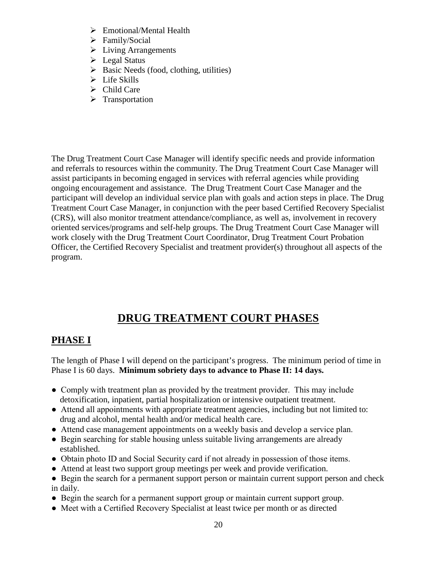- Emotional/Mental Health
- > Family/Social
- > Living Arrangements
- $\blacktriangleright$  Legal Status
- $\triangleright$  Basic Needs (food, clothing, utilities)
- $\triangleright$  Life Skills
- $\triangleright$  Child Care
- $\triangleright$  Transportation

The Drug Treatment Court Case Manager will identify specific needs and provide information and referrals to resources within the community. The Drug Treatment Court Case Manager will assist participants in becoming engaged in services with referral agencies while providing ongoing encouragement and assistance. The Drug Treatment Court Case Manager and the participant will develop an individual service plan with goals and action steps in place. The Drug Treatment Court Case Manager, in conjunction with the peer based Certified Recovery Specialist (CRS), will also monitor treatment attendance/compliance, as well as, involvement in recovery oriented services/programs and self-help groups. The Drug Treatment Court Case Manager will work closely with the Drug Treatment Court Coordinator, Drug Treatment Court Probation Officer, the Certified Recovery Specialist and treatment provider(s) throughout all aspects of the program.

# **DRUG TREATMENT COURT PHASES**

# **PHASE I**

The length of Phase I will depend on the participant's progress. The minimum period of time in Phase I is 60 days. **Minimum sobriety days to advance to Phase II: 14 days.**

- Comply with treatment plan as provided by the treatment provider. This may include detoxification, inpatient, partial hospitalization or intensive outpatient treatment.
- Attend all appointments with appropriate treatment agencies, including but not limited to: drug and alcohol, mental health and/or medical health care.
- Attend case management appointments on a weekly basis and develop a service plan.
- Begin searching for stable housing unless suitable living arrangements are already established.
- Obtain photo ID and Social Security card if not already in possession of those items.
- Attend at least two support group meetings per week and provide verification.
- Begin the search for a permanent support person or maintain current support person and check in daily.
- Begin the search for a permanent support group or maintain current support group.
- Meet with a Certified Recovery Specialist at least twice per month or as directed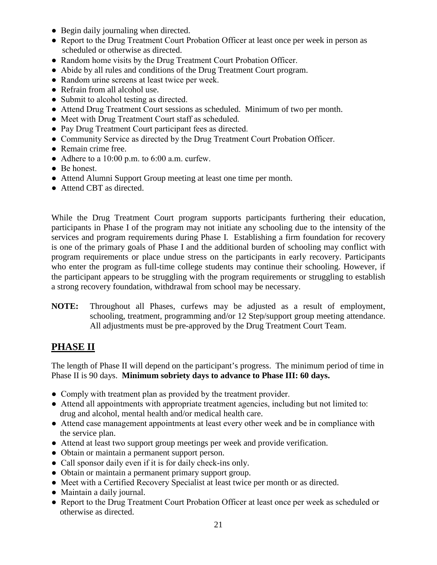- Begin daily journaling when directed.
- Report to the Drug Treatment Court Probation Officer at least once per week in person as scheduled or otherwise as directed.
- Random home visits by the Drug Treatment Court Probation Officer.
- Abide by all rules and conditions of the Drug Treatment Court program.
- Random urine screens at least twice per week.
- Refrain from all alcohol use.
- Submit to alcohol testing as directed.
- Attend Drug Treatment Court sessions as scheduled. Minimum of two per month.
- Meet with Drug Treatment Court staff as scheduled.
- Pay Drug Treatment Court participant fees as directed.
- Community Service as directed by the Drug Treatment Court Probation Officer.
- Remain crime free.
- Adhere to a  $10:00$  p.m. to  $6:00$  a.m. curfew.
- Be honest.
- Attend Alumni Support Group meeting at least one time per month.
- Attend CBT as directed.

While the Drug Treatment Court program supports participants furthering their education, participants in Phase I of the program may not initiate any schooling due to the intensity of the services and program requirements during Phase I. Establishing a firm foundation for recovery is one of the primary goals of Phase I and the additional burden of schooling may conflict with program requirements or place undue stress on the participants in early recovery. Participants who enter the program as full-time college students may continue their schooling. However, if the participant appears to be struggling with the program requirements or struggling to establish a strong recovery foundation, withdrawal from school may be necessary.

**NOTE:** Throughout all Phases, curfews may be adjusted as a result of employment, schooling, treatment, programming and/or 12 Step/support group meeting attendance. All adjustments must be pre-approved by the Drug Treatment Court Team.

### **PHASE II**

The length of Phase II will depend on the participant's progress. The minimum period of time in Phase II is 90 days. **Minimum sobriety days to advance to Phase III: 60 days.**

- Comply with treatment plan as provided by the treatment provider.
- Attend all appointments with appropriate treatment agencies, including but not limited to: drug and alcohol, mental health and/or medical health care.
- Attend case management appointments at least every other week and be in compliance with the service plan.
- Attend at least two support group meetings per week and provide verification.
- Obtain or maintain a permanent support person.
- Call sponsor daily even if it is for daily check-ins only.
- Obtain or maintain a permanent primary support group.
- Meet with a Certified Recovery Specialist at least twice per month or as directed.
- Maintain a daily journal.
- Report to the Drug Treatment Court Probation Officer at least once per week as scheduled or otherwise as directed.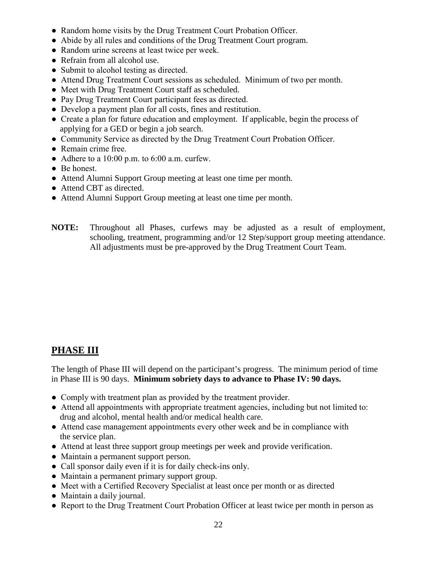- Random home visits by the Drug Treatment Court Probation Officer.
- Abide by all rules and conditions of the Drug Treatment Court program.
- Random urine screens at least twice per week.
- Refrain from all alcohol use.
- Submit to alcohol testing as directed.
- Attend Drug Treatment Court sessions as scheduled. Minimum of two per month.
- Meet with Drug Treatment Court staff as scheduled.
- Pay Drug Treatment Court participant fees as directed.
- Develop a payment plan for all costs, fines and restitution.
- Create a plan for future education and employment. If applicable, begin the process of applying for a GED or begin a job search.
- Community Service as directed by the Drug Treatment Court Probation Officer.
- Remain crime free.
- Adhere to a  $10:00$  p.m. to  $6:00$  a.m. curfew.
- Be honest.
- Attend Alumni Support Group meeting at least one time per month.
- Attend CBT as directed.
- Attend Alumni Support Group meeting at least one time per month.
- **NOTE:** Throughout all Phases, curfews may be adjusted as a result of employment, schooling, treatment, programming and/or 12 Step/support group meeting attendance. All adjustments must be pre-approved by the Drug Treatment Court Team.

# **PHASE III**

The length of Phase III will depend on the participant's progress. The minimum period of time in Phase III is 90 days. **Minimum sobriety days to advance to Phase IV: 90 days.**

- Comply with treatment plan as provided by the treatment provider.
- Attend all appointments with appropriate treatment agencies, including but not limited to: drug and alcohol, mental health and/or medical health care.
- Attend case management appointments every other week and be in compliance with the service plan.
- Attend at least three support group meetings per week and provide verification.
- Maintain a permanent support person.
- Call sponsor daily even if it is for daily check-ins only.
- Maintain a permanent primary support group.
- Meet with a Certified Recovery Specialist at least once per month or as directed
- Maintain a daily journal.
- Report to the Drug Treatment Court Probation Officer at least twice per month in person as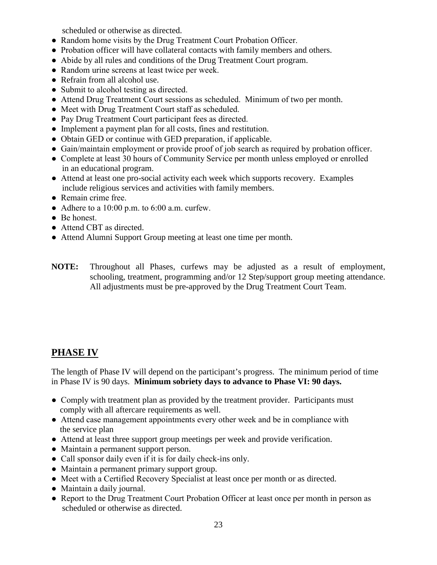scheduled or otherwise as directed.

- Random home visits by the Drug Treatment Court Probation Officer.
- Probation officer will have collateral contacts with family members and others.
- Abide by all rules and conditions of the Drug Treatment Court program.
- Random urine screens at least twice per week.
- Refrain from all alcohol use.
- Submit to alcohol testing as directed.
- Attend Drug Treatment Court sessions as scheduled. Minimum of two per month.
- Meet with Drug Treatment Court staff as scheduled.
- Pay Drug Treatment Court participant fees as directed.
- Implement a payment plan for all costs, fines and restitution.
- Obtain GED or continue with GED preparation, if applicable.
- Gain/maintain employment or provide proof of job search as required by probation officer.
- Complete at least 30 hours of Community Service per month unless employed or enrolled in an educational program.
- Attend at least one pro-social activity each week which supports recovery. Examples include religious services and activities with family members.
- Remain crime free.
- Adhere to a 10:00 p.m. to 6:00 a.m. curfew.
- Be honest.
- Attend CBT as directed.
- Attend Alumni Support Group meeting at least one time per month.
- **NOTE:** Throughout all Phases, curfews may be adjusted as a result of employment, schooling, treatment, programming and/or 12 Step/support group meeting attendance. All adjustments must be pre-approved by the Drug Treatment Court Team.

### **PHASE IV**

The length of Phase IV will depend on the participant's progress. The minimum period of time in Phase IV is 90 days. **Minimum sobriety days to advance to Phase VI: 90 days.**

- Comply with treatment plan as provided by the treatment provider. Participants must comply with all aftercare requirements as well.
- Attend case management appointments every other week and be in compliance with the service plan
- Attend at least three support group meetings per week and provide verification.
- Maintain a permanent support person.
- Call sponsor daily even if it is for daily check-ins only.
- Maintain a permanent primary support group.
- Meet with a Certified Recovery Specialist at least once per month or as directed.
- Maintain a daily journal.
- Report to the Drug Treatment Court Probation Officer at least once per month in person as scheduled or otherwise as directed.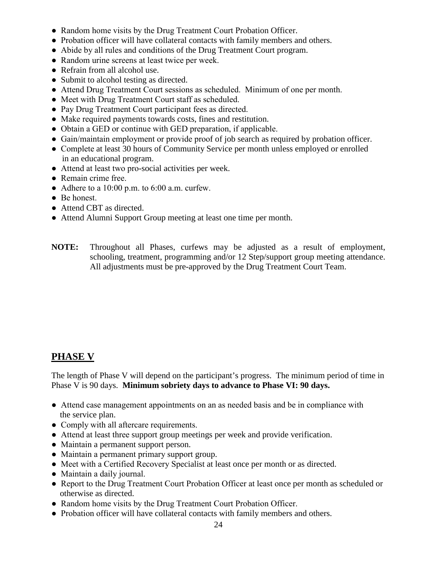- Random home visits by the Drug Treatment Court Probation Officer.
- Probation officer will have collateral contacts with family members and others.
- Abide by all rules and conditions of the Drug Treatment Court program.
- Random urine screens at least twice per week.
- Refrain from all alcohol use.
- Submit to alcohol testing as directed.
- Attend Drug Treatment Court sessions as scheduled. Minimum of one per month.
- Meet with Drug Treatment Court staff as scheduled.
- Pay Drug Treatment Court participant fees as directed.
- Make required payments towards costs, fines and restitution.
- Obtain a GED or continue with GED preparation, if applicable.
- Gain/maintain employment or provide proof of job search as required by probation officer.
- Complete at least 30 hours of Community Service per month unless employed or enrolled in an educational program.
- Attend at least two pro-social activities per week.
- Remain crime free.
- Adhere to a  $10:00$  p.m. to  $6:00$  a.m. curfew.
- Be honest.
- Attend CBT as directed.
- Attend Alumni Support Group meeting at least one time per month.
- **NOTE:** Throughout all Phases, curfews may be adjusted as a result of employment, schooling, treatment, programming and/or 12 Step/support group meeting attendance. All adjustments must be pre-approved by the Drug Treatment Court Team.

### **PHASE V**

The length of Phase V will depend on the participant's progress. The minimum period of time in Phase V is 90 days. **Minimum sobriety days to advance to Phase VI: 90 days.**

- Attend case management appointments on an as needed basis and be in compliance with the service plan.
- Comply with all aftercare requirements.
- Attend at least three support group meetings per week and provide verification.
- Maintain a permanent support person.
- Maintain a permanent primary support group.
- Meet with a Certified Recovery Specialist at least once per month or as directed.
- Maintain a daily journal.
- Report to the Drug Treatment Court Probation Officer at least once per month as scheduled or otherwise as directed.
- Random home visits by the Drug Treatment Court Probation Officer.
- Probation officer will have collateral contacts with family members and others.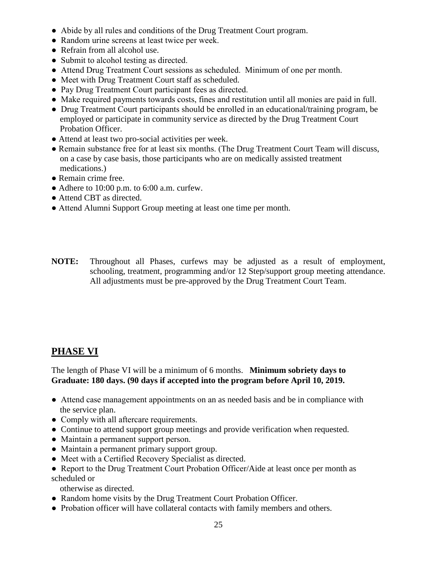- Abide by all rules and conditions of the Drug Treatment Court program.
- Random urine screens at least twice per week.
- Refrain from all alcohol use.
- Submit to alcohol testing as directed.
- Attend Drug Treatment Court sessions as scheduled. Minimum of one per month.
- Meet with Drug Treatment Court staff as scheduled.
- Pay Drug Treatment Court participant fees as directed.
- Make required payments towards costs, fines and restitution until all monies are paid in full.
- Drug Treatment Court participants should be enrolled in an educational/training program, be employed or participate in community service as directed by the Drug Treatment Court Probation Officer.
- Attend at least two pro-social activities per week.
- Remain substance free for at least six months. (The Drug Treatment Court Team will discuss, on a case by case basis, those participants who are on medically assisted treatment medications.)
- Remain crime free.
- $\bullet$  Adhere to 10:00 p.m. to 6:00 a.m. curfew.
- Attend CBT as directed.
- Attend Alumni Support Group meeting at least one time per month.
- **NOTE:** Throughout all Phases, curfews may be adjusted as a result of employment, schooling, treatment, programming and/or 12 Step/support group meeting attendance. All adjustments must be pre-approved by the Drug Treatment Court Team.

### **PHASE VI**

The length of Phase VI will be a minimum of 6 months. **Minimum sobriety days to Graduate: 180 days. (90 days if accepted into the program before April 10, 2019.**

- Attend case management appointments on an as needed basis and be in compliance with the service plan.
- Comply with all aftercare requirements.
- Continue to attend support group meetings and provide verification when requested.
- Maintain a permanent support person.
- Maintain a permanent primary support group.
- Meet with a Certified Recovery Specialist as directed.
- Report to the Drug Treatment Court Probation Officer/Aide at least once per month as scheduled or

otherwise as directed.

- Random home visits by the Drug Treatment Court Probation Officer.
- Probation officer will have collateral contacts with family members and others.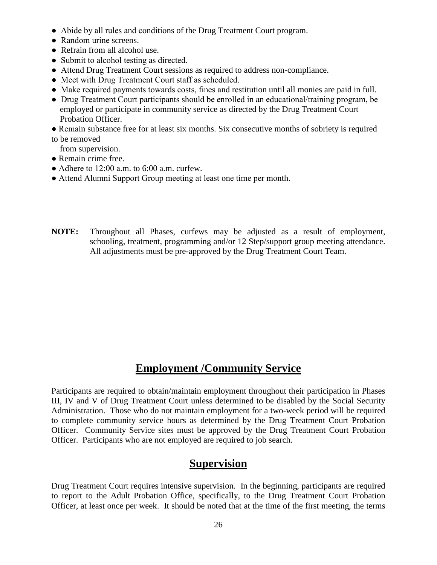- Abide by all rules and conditions of the Drug Treatment Court program.
- Random urine screens.
- Refrain from all alcohol use.
- Submit to alcohol testing as directed.
- Attend Drug Treatment Court sessions as required to address non-compliance.
- Meet with Drug Treatment Court staff as scheduled.
- Make required payments towards costs, fines and restitution until all monies are paid in full.
- Drug Treatment Court participants should be enrolled in an educational/training program, be employed or participate in community service as directed by the Drug Treatment Court Probation Officer.
- Remain substance free for at least six months. Six consecutive months of sobriety is required
- to be removed
- from supervision.
- Remain crime free.
- Adhere to  $12:00$  a.m. to  $6:00$  a.m. curfew.
- Attend Alumni Support Group meeting at least one time per month.
- **NOTE:** Throughout all Phases, curfews may be adjusted as a result of employment, schooling, treatment, programming and/or 12 Step/support group meeting attendance. All adjustments must be pre-approved by the Drug Treatment Court Team.

# **Employment /Community Service**

Participants are required to obtain/maintain employment throughout their participation in Phases III, IV and V of Drug Treatment Court unless determined to be disabled by the Social Security Administration. Those who do not maintain employment for a two-week period will be required to complete community service hours as determined by the Drug Treatment Court Probation Officer. Community Service sites must be approved by the Drug Treatment Court Probation Officer. Participants who are not employed are required to job search.

# **Supervision**

Drug Treatment Court requires intensive supervision. In the beginning, participants are required to report to the Adult Probation Office, specifically, to the Drug Treatment Court Probation Officer, at least once per week. It should be noted that at the time of the first meeting, the terms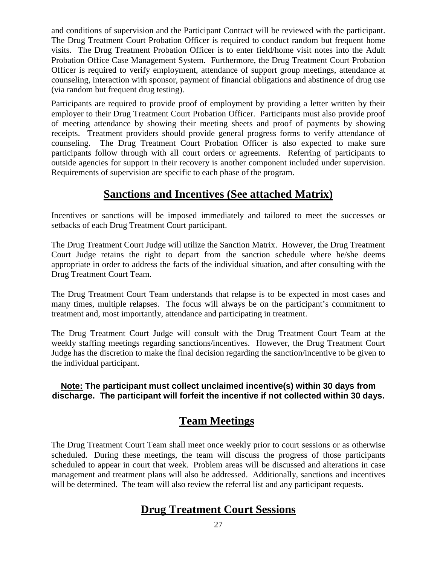and conditions of supervision and the Participant Contract will be reviewed with the participant. The Drug Treatment Court Probation Officer is required to conduct random but frequent home visits. The Drug Treatment Probation Officer is to enter field/home visit notes into the Adult Probation Office Case Management System. Furthermore, the Drug Treatment Court Probation Officer is required to verify employment, attendance of support group meetings, attendance at counseling, interaction with sponsor, payment of financial obligations and abstinence of drug use (via random but frequent drug testing).

Participants are required to provide proof of employment by providing a letter written by their employer to their Drug Treatment Court Probation Officer. Participants must also provide proof of meeting attendance by showing their meeting sheets and proof of payments by showing receipts. Treatment providers should provide general progress forms to verify attendance of counseling. The Drug Treatment Court Probation Officer is also expected to make sure participants follow through with all court orders or agreements. Referring of participants to outside agencies for support in their recovery is another component included under supervision. Requirements of supervision are specific to each phase of the program.

# **Sanctions and Incentives (See attached Matrix)**

Incentives or sanctions will be imposed immediately and tailored to meet the successes or setbacks of each Drug Treatment Court participant.

The Drug Treatment Court Judge will utilize the Sanction Matrix. However, the Drug Treatment Court Judge retains the right to depart from the sanction schedule where he/she deems appropriate in order to address the facts of the individual situation, and after consulting with the Drug Treatment Court Team.

The Drug Treatment Court Team understands that relapse is to be expected in most cases and many times, multiple relapses. The focus will always be on the participant's commitment to treatment and, most importantly, attendance and participating in treatment.

The Drug Treatment Court Judge will consult with the Drug Treatment Court Team at the weekly staffing meetings regarding sanctions/incentives. However, the Drug Treatment Court Judge has the discretion to make the final decision regarding the sanction/incentive to be given to the individual participant.

### **Note: The participant must collect unclaimed incentive(s) within 30 days from discharge. The participant will forfeit the incentive if not collected within 30 days.**

# **Team Meetings**

The Drug Treatment Court Team shall meet once weekly prior to court sessions or as otherwise scheduled. During these meetings, the team will discuss the progress of those participants scheduled to appear in court that week. Problem areas will be discussed and alterations in case management and treatment plans will also be addressed. Additionally, sanctions and incentives will be determined. The team will also review the referral list and any participant requests.

# **Drug Treatment Court Sessions**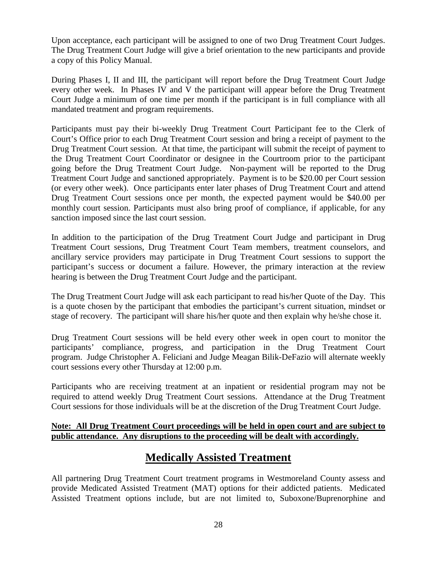Upon acceptance, each participant will be assigned to one of two Drug Treatment Court Judges. The Drug Treatment Court Judge will give a brief orientation to the new participants and provide a copy of this Policy Manual.

During Phases I, II and III, the participant will report before the Drug Treatment Court Judge every other week. In Phases IV and V the participant will appear before the Drug Treatment Court Judge a minimum of one time per month if the participant is in full compliance with all mandated treatment and program requirements.

Participants must pay their bi-weekly Drug Treatment Court Participant fee to the Clerk of Court's Office prior to each Drug Treatment Court session and bring a receipt of payment to the Drug Treatment Court session. At that time, the participant will submit the receipt of payment to the Drug Treatment Court Coordinator or designee in the Courtroom prior to the participant going before the Drug Treatment Court Judge. Non-payment will be reported to the Drug Treatment Court Judge and sanctioned appropriately. Payment is to be \$20.00 per Court session (or every other week). Once participants enter later phases of Drug Treatment Court and attend Drug Treatment Court sessions once per month, the expected payment would be \$40.00 per monthly court session. Participants must also bring proof of compliance, if applicable, for any sanction imposed since the last court session.

In addition to the participation of the Drug Treatment Court Judge and participant in Drug Treatment Court sessions, Drug Treatment Court Team members, treatment counselors, and ancillary service providers may participate in Drug Treatment Court sessions to support the participant's success or document a failure. However, the primary interaction at the review hearing is between the Drug Treatment Court Judge and the participant.

The Drug Treatment Court Judge will ask each participant to read his/her Quote of the Day. This is a quote chosen by the participant that embodies the participant's current situation, mindset or stage of recovery. The participant will share his/her quote and then explain why he/she chose it.

Drug Treatment Court sessions will be held every other week in open court to monitor the participants' compliance, progress, and participation in the Drug Treatment Court program. Judge Christopher A. Feliciani and Judge Meagan Bilik-DeFazio will alternate weekly court sessions every other Thursday at 12:00 p.m.

Participants who are receiving treatment at an inpatient or residential program may not be required to attend weekly Drug Treatment Court sessions. Attendance at the Drug Treatment Court sessions for those individuals will be at the discretion of the Drug Treatment Court Judge.

#### **Note: All Drug Treatment Court proceedings will be held in open court and are subject to public attendance. Any disruptions to the proceeding will be dealt with accordingly.**

# **Medically Assisted Treatment**

All partnering Drug Treatment Court treatment programs in Westmoreland County assess and provide Medicated Assisted Treatment (MAT) options for their addicted patients. Medicated Assisted Treatment options include, but are not limited to, Suboxone/Buprenorphine and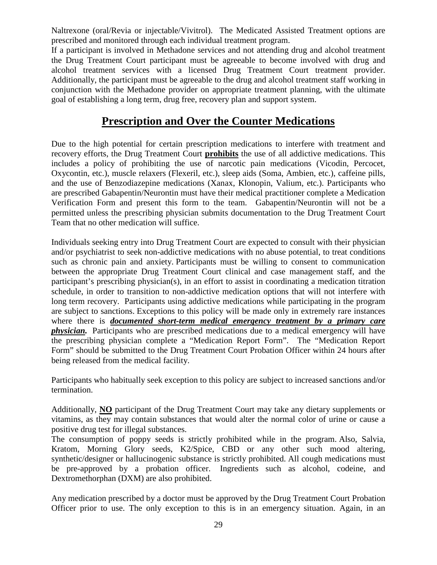Naltrexone (oral/Revia or injectable/Vivitrol). The Medicated Assisted Treatment options are prescribed and monitored through each individual treatment program.

If a participant is involved in Methadone services and not attending drug and alcohol treatment the Drug Treatment Court participant must be agreeable to become involved with drug and alcohol treatment services with a licensed Drug Treatment Court treatment provider. Additionally, the participant must be agreeable to the drug and alcohol treatment staff working in conjunction with the Methadone provider on appropriate treatment planning, with the ultimate goal of establishing a long term, drug free, recovery plan and support system.

# **Prescription and Over the Counter Medications**

Due to the high potential for certain prescription medications to interfere with treatment and recovery efforts, the Drug Treatment Court **prohibits** the use of all addictive medications. This includes a policy of prohibiting the use of narcotic pain medications (Vicodin, Percocet, Oxycontin, etc.), muscle relaxers (Flexeril, etc.), sleep aids (Soma, Ambien, etc.), caffeine pills, and the use of Benzodiazepine medications (Xanax, Klonopin, Valium, etc.). Participants who are prescribed Gabapentin/Neurontin must have their medical practitioner complete a Medication Verification Form and present this form to the team. Gabapentin/Neurontin will not be a permitted unless the prescribing physician submits documentation to the Drug Treatment Court Team that no other medication will suffice.

Individuals seeking entry into Drug Treatment Court are expected to consult with their physician and/or psychiatrist to seek non-addictive medications with no abuse potential, to treat conditions such as chronic pain and anxiety. Participants must be willing to consent to communication between the appropriate Drug Treatment Court clinical and case management staff, and the participant's prescribing physician(s), in an effort to assist in coordinating a medication titration schedule, in order to transition to non-addictive medication options that will not interfere with long term recovery. Participants using addictive medications while participating in the program are subject to sanctions. Exceptions to this policy will be made only in extremely rare instances where there is *documented short-term medical emergency treatment by a primary care physician.* Participants who are prescribed medications due to a medical emergency will have the prescribing physician complete a "Medication Report Form". The "Medication Report Form" should be submitted to the Drug Treatment Court Probation Officer within 24 hours after being released from the medical facility.

Participants who habitually seek exception to this policy are subject to increased sanctions and/or termination.

Additionally, **NO** participant of the Drug Treatment Court may take any dietary supplements or vitamins, as they may contain substances that would alter the normal color of urine or cause a positive drug test for illegal substances.

The consumption of poppy seeds is strictly prohibited while in the program. Also, Salvia, Kratom, Morning Glory seeds, K2/Spice, CBD or any other such mood altering, synthetic/designer or hallucinogenic substance is strictly prohibited. All cough medications must be pre-approved by a probation officer. Ingredients such as alcohol, codeine, and Dextromethorphan (DXM) are also prohibited.

Any medication prescribed by a doctor must be approved by the Drug Treatment Court Probation Officer prior to use. The only exception to this is in an emergency situation. Again, in an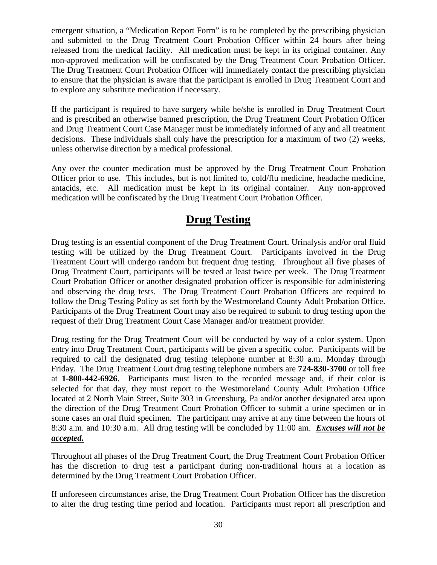emergent situation, a "Medication Report Form" is to be completed by the prescribing physician and submitted to the Drug Treatment Court Probation Officer within 24 hours after being released from the medical facility. All medication must be kept in its original container. Any non-approved medication will be confiscated by the Drug Treatment Court Probation Officer. The Drug Treatment Court Probation Officer will immediately contact the prescribing physician to ensure that the physician is aware that the participant is enrolled in Drug Treatment Court and to explore any substitute medication if necessary.

If the participant is required to have surgery while he/she is enrolled in Drug Treatment Court and is prescribed an otherwise banned prescription, the Drug Treatment Court Probation Officer and Drug Treatment Court Case Manager must be immediately informed of any and all treatment decisions. These individuals shall only have the prescription for a maximum of two (2) weeks, unless otherwise direction by a medical professional.

Any over the counter medication must be approved by the Drug Treatment Court Probation Officer prior to use. This includes, but is not limited to, cold/flu medicine, headache medicine, antacids, etc. All medication must be kept in its original container. Any non-approved medication will be confiscated by the Drug Treatment Court Probation Officer.

# **Drug Testing**

Drug testing is an essential component of the Drug Treatment Court. Urinalysis and/or oral fluid testing will be utilized by the Drug Treatment Court. Participants involved in the Drug Treatment Court will undergo random but frequent drug testing. Throughout all five phases of Drug Treatment Court, participants will be tested at least twice per week. The Drug Treatment Court Probation Officer or another designated probation officer is responsible for administering and observing the drug tests. The Drug Treatment Court Probation Officers are required to follow the Drug Testing Policy as set forth by the Westmoreland County Adult Probation Office. Participants of the Drug Treatment Court may also be required to submit to drug testing upon the request of their Drug Treatment Court Case Manager and/or treatment provider.

Drug testing for the Drug Treatment Court will be conducted by way of a color system. Upon entry into Drug Treatment Court, participants will be given a specific color. Participants will be required to call the designated drug testing telephone number at 8:30 a.m. Monday through Friday. The Drug Treatment Court drug testing telephone numbers are **724-830-3700** or toll free at **1-800-442-6926**. Participants must listen to the recorded message and, if their color is selected for that day, they must report to the Westmoreland County Adult Probation Office located at 2 North Main Street, Suite 303 in Greensburg, Pa and/or another designated area upon the direction of the Drug Treatment Court Probation Officer to submit a urine specimen or in some cases an oral fluid specimen. The participant may arrive at any time between the hours of 8:30 a.m. and 10:30 a.m. All drug testing will be concluded by 11:00 am. *Excuses will not be accepted.*

Throughout all phases of the Drug Treatment Court, the Drug Treatment Court Probation Officer has the discretion to drug test a participant during non-traditional hours at a location as determined by the Drug Treatment Court Probation Officer.

If unforeseen circumstances arise, the Drug Treatment Court Probation Officer has the discretion to alter the drug testing time period and location. Participants must report all prescription and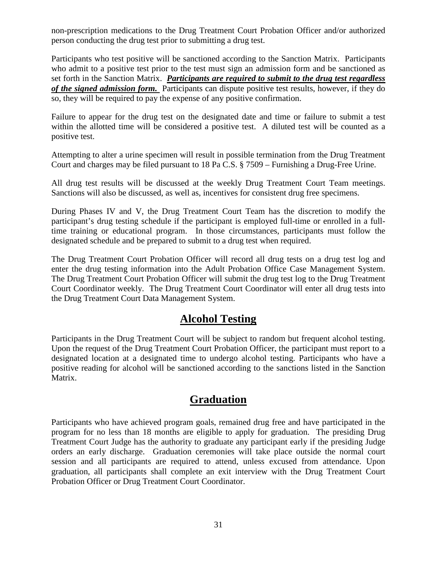non-prescription medications to the Drug Treatment Court Probation Officer and/or authorized person conducting the drug test prior to submitting a drug test.

Participants who test positive will be sanctioned according to the Sanction Matrix. Participants who admit to a positive test prior to the test must sign an admission form and be sanctioned as set forth in the Sanction Matrix. *Participants are required to submit to the drug test regardless of the signed admission form.* Participants can dispute positive test results, however, if they do so, they will be required to pay the expense of any positive confirmation.

Failure to appear for the drug test on the designated date and time or failure to submit a test within the allotted time will be considered a positive test. A diluted test will be counted as a positive test.

Attempting to alter a urine specimen will result in possible termination from the Drug Treatment Court and charges may be filed pursuant to 18 Pa C.S. § 7509 – Furnishing a Drug-Free Urine.

All drug test results will be discussed at the weekly Drug Treatment Court Team meetings. Sanctions will also be discussed, as well as, incentives for consistent drug free specimens.

During Phases IV and V, the Drug Treatment Court Team has the discretion to modify the participant's drug testing schedule if the participant is employed full-time or enrolled in a fulltime training or educational program. In those circumstances, participants must follow the designated schedule and be prepared to submit to a drug test when required.

The Drug Treatment Court Probation Officer will record all drug tests on a drug test log and enter the drug testing information into the Adult Probation Office Case Management System. The Drug Treatment Court Probation Officer will submit the drug test log to the Drug Treatment Court Coordinator weekly. The Drug Treatment Court Coordinator will enter all drug tests into the Drug Treatment Court Data Management System.

# **Alcohol Testing**

Participants in the Drug Treatment Court will be subject to random but frequent alcohol testing. Upon the request of the Drug Treatment Court Probation Officer, the participant must report to a designated location at a designated time to undergo alcohol testing. Participants who have a positive reading for alcohol will be sanctioned according to the sanctions listed in the Sanction Matrix.

# **Graduation**

Participants who have achieved program goals, remained drug free and have participated in the program for no less than 18 months are eligible to apply for graduation. The presiding Drug Treatment Court Judge has the authority to graduate any participant early if the presiding Judge orders an early discharge. Graduation ceremonies will take place outside the normal court session and all participants are required to attend, unless excused from attendance. Upon graduation, all participants shall complete an exit interview with the Drug Treatment Court Probation Officer or Drug Treatment Court Coordinator.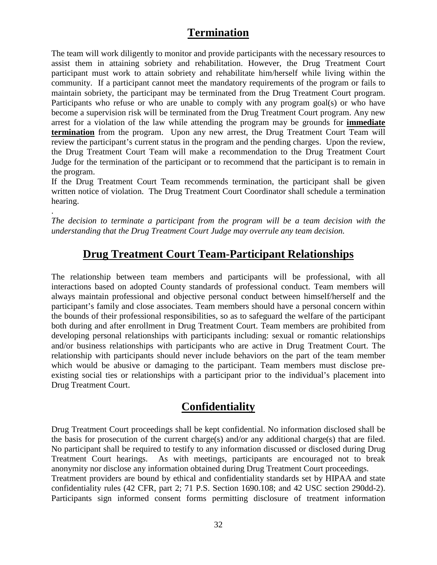# **Termination**

The team will work diligently to monitor and provide participants with the necessary resources to assist them in attaining sobriety and rehabilitation. However, the Drug Treatment Court participant must work to attain sobriety and rehabilitate him/herself while living within the community. If a participant cannot meet the mandatory requirements of the program or fails to maintain sobriety, the participant may be terminated from the Drug Treatment Court program. Participants who refuse or who are unable to comply with any program goal(s) or who have become a supervision risk will be terminated from the Drug Treatment Court program. Any new arrest for a violation of the law while attending the program may be grounds for **immediate termination** from the program. Upon any new arrest, the Drug Treatment Court Team will review the participant's current status in the program and the pending charges. Upon the review, the Drug Treatment Court Team will make a recommendation to the Drug Treatment Court Judge for the termination of the participant or to recommend that the participant is to remain in the program.

If the Drug Treatment Court Team recommends termination, the participant shall be given written notice of violation. The Drug Treatment Court Coordinator shall schedule a termination hearing.

*The decision to terminate a participant from the program will be a team decision with the understanding that the Drug Treatment Court Judge may overrule any team decision.*

.

# **Drug Treatment Court Team-Participant Relationships**

The relationship between team members and participants will be professional, with all interactions based on adopted County standards of professional conduct. Team members will always maintain professional and objective personal conduct between himself/herself and the participant's family and close associates. Team members should have a personal concern within the bounds of their professional responsibilities, so as to safeguard the welfare of the participant both during and after enrollment in Drug Treatment Court. Team members are prohibited from developing personal relationships with participants including: sexual or romantic relationships and/or business relationships with participants who are active in Drug Treatment Court. The relationship with participants should never include behaviors on the part of the team member which would be abusive or damaging to the participant. Team members must disclose preexisting social ties or relationships with a participant prior to the individual's placement into Drug Treatment Court.

# **Confidentiality**

Drug Treatment Court proceedings shall be kept confidential. No information disclosed shall be the basis for prosecution of the current charge(s) and/or any additional charge(s) that are filed. No participant shall be required to testify to any information discussed or disclosed during Drug Treatment Court hearings. As with meetings, participants are encouraged not to break anonymity nor disclose any information obtained during Drug Treatment Court proceedings. Treatment providers are bound by ethical and confidentiality standards set by HIPAA and state confidentiality rules (42 CFR, part 2; 71 P.S. Section 1690.108; and 42 USC section 290dd-2). Participants sign informed consent forms permitting disclosure of treatment information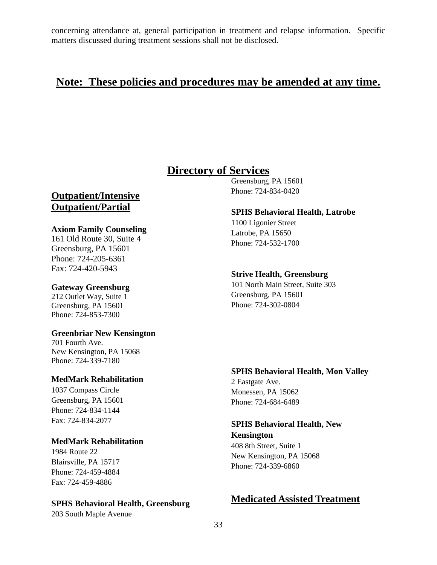concerning attendance at, general participation in treatment and relapse information. Specific matters discussed during treatment sessions shall not be disclosed.

## **Note: These policies and procedures may be amended at any time.**

# **Directory of Services**

**Outpatient/Intensive Outpatient/Partial** 

#### **Axiom Family Counseling**

161 Old Route 30, Suite 4 Greensburg, PA 15601 Phone: 724-205-6361 Fax: 724-420-5943

#### **Gateway Greensburg**

212 Outlet Way, Suite 1 Greensburg, PA 15601 Phone: 724-853-7300

#### **Greenbriar New Kensington**

701 Fourth Ave. New Kensington, PA 15068 Phone: 724-339-7180

#### **MedMark Rehabilitation**

1037 Compass Circle Greensburg, PA 15601 Phone: 724-834-1144 Fax: 724-834-2077

#### **MedMark Rehabilitation**

1984 Route 22 Blairsville, PA 15717 Phone: 724-459-4884 Fax: 724-459-4886

#### **SPHS Behavioral Health, Greensburg**

203 South Maple Avenue

Greensburg, PA 15601 Phone: 724-834-0420

#### **SPHS Behavioral Health, Latrobe**

1100 Ligonier Street Latrobe, PA 15650 Phone: 724-532-1700

#### **Strive Health, Greensburg**

101 North Main Street, Suite 303 Greensburg, PA 15601 Phone: 724-302-0804

#### **SPHS Behavioral Health, Mon Valley**

2 Eastgate Ave. Monessen, PA 15062 Phone: 724-684-6489

#### **SPHS Behavioral Health, New**

**Kensington** 408 8th Street, Suite 1 New Kensington, PA 15068 Phone: 724-339-6860

### **Medicated Assisted Treatment**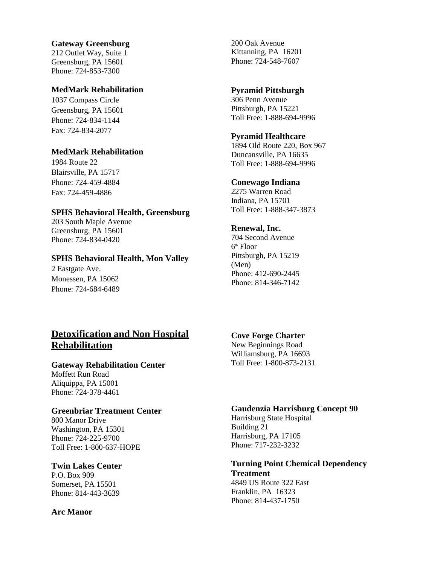#### **Gateway Greensburg**

212 Outlet Way, Suite 1 Greensburg, PA 15601 Phone: 724-853-7300

#### **MedMark Rehabilitation**

1037 Compass Circle Greensburg, PA 15601 Phone: 724-834-1144 Fax: 724-834-2077

#### **MedMark Rehabilitation**

1984 Route 22 Blairsville, PA 15717 Phone: 724-459-4884 Fax: 724-459-4886

#### **SPHS Behavioral Health, Greensburg**

203 South Maple Avenue Greensburg, PA 15601 Phone: 724-834-0420

#### **SPHS Behavioral Health, Mon Valley**

2 Eastgate Ave. Monessen, PA 15062 Phone: 724-684-6489

200 Oak Avenue Kittanning, PA 16201 Phone: 724-548-7607

#### **Pyramid Pittsburgh**

306 Penn Avenue Pittsburgh, PA 15221 Toll Free: 1-888-694-9996

#### **Pyramid Healthcare**

1894 Old Route 220, Box 967 Duncansville, PA 16635 Toll Free: 1-888-694-9996

#### **Conewago Indiana**

2275 Warren Road Indiana, PA 15701 Toll Free: 1-888-347-3873

#### **Renewal, Inc.**

704 Second Avenue  $6<sup>th</sup>$  Floor Pittsburgh, PA 15219 (Men) Phone: 412-690-2445 Phone: 814-346-7142

### **Detoxification and Non Hospital Rehabilitation**

#### **Gateway Rehabilitation Center**

Moffett Run Road Aliquippa, PA 15001 Phone: 724-378-4461

#### **Greenbriar Treatment Center**

800 Manor Drive Washington, PA 15301 Phone: 724-225-9700 Toll Free: 1-800-637-HOPE

#### **Twin Lakes Center**

P.O. Box 909 Somerset, PA 15501 Phone: 814-443-3639

#### **Arc Manor**

#### **Cove Forge Charter**

New Beginnings Road Williamsburg, PA 16693 Toll Free: 1-800-873-2131

#### **Gaudenzia Harrisburg Concept 90**

Harrisburg State Hospital Building 21 Harrisburg, PA 17105 Phone: 717-232-3232

#### **Turning Point Chemical Dependency Treatment**

4849 US Route 322 East Franklin, PA 16323 Phone: 814-437-1750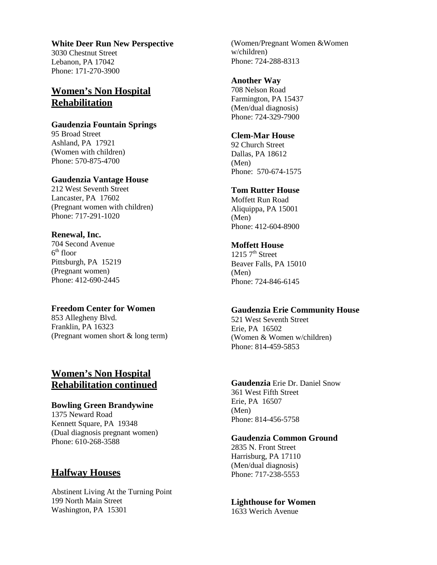#### **White Deer Run New Perspective**

3030 Chestnut Street Lebanon, PA 17042 Phone: 171-270-3900

### **Women's Non Hospital Rehabilitation**

#### **Gaudenzia Fountain Springs**

95 Broad Street Ashland, PA 17921 (Women with children) Phone: 570-875-4700

#### **Gaudenzia Vantage House**

212 West Seventh Street Lancaster, PA 17602 (Pregnant women with children) Phone: 717-291-1020

#### **Renewal, Inc.**

704 Second Avenue  $6<sup>th</sup>$  floor Pittsburgh, PA 15219 (Pregnant women) Phone: 412-690-2445

#### **Freedom Center for Women**

853 Allegheny Blvd. Franklin, PA 16323 (Pregnant women short & long term)

### **Women's Non Hospital Rehabilitation continued**

#### **Bowling Green Brandywine**

1375 Neward Road Kennett Square, PA 19348 (Dual diagnosis pregnant women) Phone: 610-268-3588

#### **Halfway Houses**

Abstinent Living At the Turning Point 199 North Main Street Washington, PA 15301

(Women/Pregnant Women &Women w/children) Phone: 724-288-8313

#### **Another Way**

708 Nelson Road Farmington, PA 15437 (Men/dual diagnosis) Phone: 724-329-7900

#### **Clem-Mar House**

92 Church Street Dallas, PA 18612 (Men) Phone: 570-674-1575

#### **Tom Rutter House**

Moffett Run Road Aliquippa, PA 15001 (Men) Phone: 412-604-8900

#### **Moffett House**

 $1215 \, 7^{\text{th}}$  Street Beaver Falls, PA 15010 (Men) Phone: 724-846-6145

#### **Gaudenzia Erie Community House**

521 West Seventh Street Erie, PA 16502 (Women & Women w/children) Phone: 814-459-5853

**Gaudenzia** Erie Dr. Daniel Snow 361 West Fifth Street Erie, PA 16507 (Men) Phone: 814-456-5758

#### **Gaudenzia Common Ground**

2835 N. Front Street Harrisburg, PA 17110 (Men/dual diagnosis) Phone: 717-238-5553

**Lighthouse for Women** 1633 Werich Avenue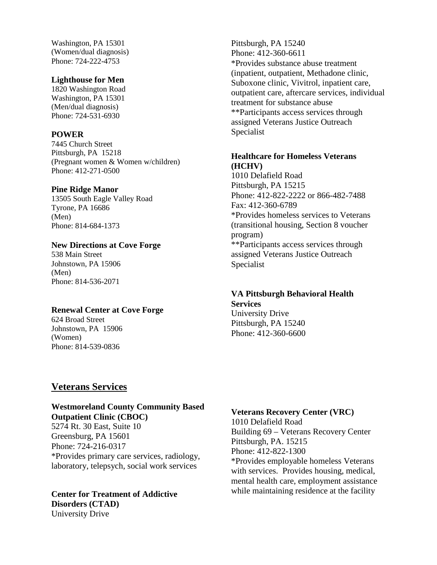Washington, PA 15301 (Women/dual diagnosis) Phone: 724-222-4753

#### **Lighthouse for Men**

1820 Washington Road Washington, PA 15301 (Men/dual diagnosis) Phone: 724-531-6930

#### **POWER**

7445 Church Street Pittsburgh, PA 15218 (Pregnant women & Women w/children) Phone: 412-271-0500

#### **Pine Ridge Manor**

13505 South Eagle Valley Road Tyrone, PA 16686 (Men) Phone: 814-684-1373

#### **New Directions at Cove Forge**

538 Main Street Johnstown, PA 15906 (Men) Phone: 814-536-2071

#### **Renewal Center at Cove Forge**

624 Broad Street Johnstown, PA 15906 (Women) Phone: 814-539-0836

#### Pittsburgh, PA 15240 Phone: 412-360-6611 \*Provides substance abuse treatment (inpatient, outpatient, Methadone clinic, Suboxone clinic, Vivitrol, inpatient care, outpatient care, aftercare services, individual treatment for substance abuse \*\*Participants access services through assigned Veterans Justice Outreach Specialist

#### **Healthcare for Homeless Veterans (HCHV)**

1010 Delafield Road Pittsburgh, PA 15215 Phone: 412-822-2222 or 866-482-7488 Fax: 412-360-6789 \*Provides homeless services to Veterans (transitional housing, Section 8 voucher program) \*\*Participants access services through assigned Veterans Justice Outreach Specialist

#### **VA Pittsburgh Behavioral Health Services**

University Drive Pittsburgh, PA 15240 Phone: 412-360-6600

### **Veterans Services**

#### **Westmoreland County Community Based Outpatient Clinic (CBOC)**

5274 Rt. 30 East, Suite 10 Greensburg, PA 15601 Phone: 724-216-0317 \*Provides primary care services, radiology, laboratory, telepsych, social work services

**Center for Treatment of Addictive Disorders (CTAD)** University Drive

#### **Veterans Recovery Center (VRC)**

1010 Delafield Road Building 69 – Veterans Recovery Center Pittsburgh, PA. 15215 Phone: 412-822-1300 \*Provides employable homeless Veterans with services. Provides housing, medical, mental health care, employment assistance while maintaining residence at the facility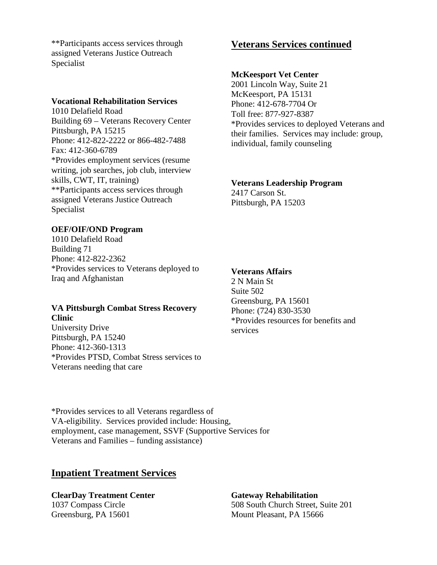\*\*Participants access services through assigned Veterans Justice Outreach Specialist

#### **Vocational Rehabilitation Services**

1010 Delafield Road Building 69 – Veterans Recovery Center Pittsburgh, PA 15215 Phone: 412-822-2222 or 866-482-7488 Fax: 412-360-6789 \*Provides employment services (resume writing, job searches, job club, interview skills, CWT, IT, training) \*\*Participants access services through assigned Veterans Justice Outreach Specialist

#### **OEF/OIF/OND Program**

1010 Delafield Road Building 71 Phone: 412-822-2362 \*Provides services to Veterans deployed to Iraq and Afghanistan

#### **VA Pittsburgh Combat Stress Recovery Clinic**

University Drive Pittsburgh, PA 15240 Phone: 412-360-1313 \*Provides PTSD, Combat Stress services to Veterans needing that care

### **Veterans Services continued**

#### **McKeesport Vet Center**

2001 Lincoln Way, Suite 21 McKeesport, PA 15131 Phone: 412-678-7704 Or Toll free: 877-927-8387 \*Provides services to deployed Veterans and their families. Services may include: group, individual, family counseling

#### **Veterans Leadership Program**

2417 Carson St. Pittsburgh, PA 15203

#### **Veterans Affairs**

2 N Main St Suite 502 Greensburg, PA 15601 Phone: (724) 830-3530 \*Provides resources for benefits and services

\*Provides services to all Veterans regardless of VA-eligibility. Services provided include: Housing, employment, case management, SSVF (Supportive Services for Veterans and Families – funding assistance)

#### **Inpatient Treatment Services**

**ClearDay Treatment Center Gateway Rehabilitation** Greensburg, PA 15601 Mount Pleasant, PA 15666

1037 Compass Circle 508 South Church Street, Suite 201